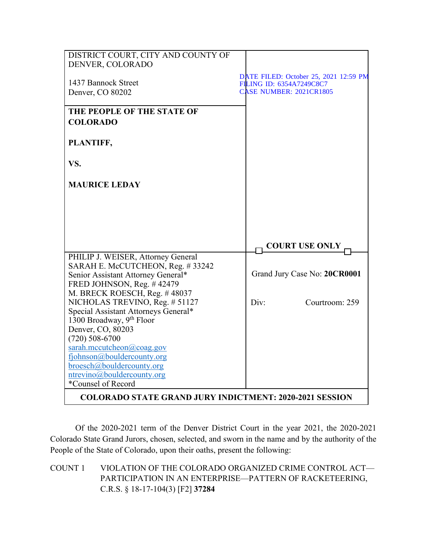| DISTRICT COURT, CITY AND COUNTY OF                             |                                                                   |
|----------------------------------------------------------------|-------------------------------------------------------------------|
| DENVER, COLORADO                                               |                                                                   |
|                                                                |                                                                   |
| 1437 Bannock Street                                            | DATE FILED: October 25, 2021 12:59 PM<br>FILING ID: 6354A7249C8C7 |
| Denver, CO 80202                                               | <b>CASE NUMBER: 2021CR1805</b>                                    |
|                                                                |                                                                   |
| THE PEOPLE OF THE STATE OF                                     |                                                                   |
|                                                                |                                                                   |
| <b>COLORADO</b>                                                |                                                                   |
|                                                                |                                                                   |
| PLANTIFF,                                                      |                                                                   |
|                                                                |                                                                   |
| VS.                                                            |                                                                   |
|                                                                |                                                                   |
| <b>MAURICE LEDAY</b>                                           |                                                                   |
|                                                                |                                                                   |
|                                                                |                                                                   |
|                                                                |                                                                   |
|                                                                |                                                                   |
|                                                                |                                                                   |
|                                                                | <b>COURT USE ONLY</b>                                             |
| PHILIP J. WEISER, Attorney General                             |                                                                   |
| SARAH E. McCUTCHEON, Reg. #33242                               |                                                                   |
| Senior Assistant Attorney General*                             | Grand Jury Case No: 20CR0001                                      |
| FRED JOHNSON, Reg. #42479                                      |                                                                   |
| M. BRECK ROESCH, Reg. #48037                                   |                                                                   |
| NICHOLAS TREVINO, Reg. # 51127                                 | Div:<br>Courtroom: 259                                            |
| Special Assistant Attorneys General*                           |                                                                   |
| 1300 Broadway, 9th Floor                                       |                                                                   |
| Denver, CO, 80203                                              |                                                                   |
| $(720) 508 - 6700$                                             |                                                                   |
| sarah.mccutcheon@coag.gov                                      |                                                                   |
| fjohnson@bouldercounty.org                                     |                                                                   |
| broesch@bouldercounty.org                                      |                                                                   |
| ntrevino@bouldercounty.org                                     |                                                                   |
| *Counsel of Record                                             |                                                                   |
| <b>COLORADO STATE GRAND JURY INDICTMENT: 2020-2021 SESSION</b> |                                                                   |

Of the 2020-2021 term of the Denver District Court in the year 2021, the 2020-2021 Colorado State Grand Jurors, chosen, selected, and sworn in the name and by the authority of the People of the State of Colorado, upon their oaths, present the following:

COUNT 1 VIOLATION OF THE COLORADO ORGANIZED CRIME CONTROL ACT— PARTICIPATION IN AN ENTERPRISE—PATTERN OF RACKETEERING, C.R.S. § 18-17-104(3) [F2] **37284**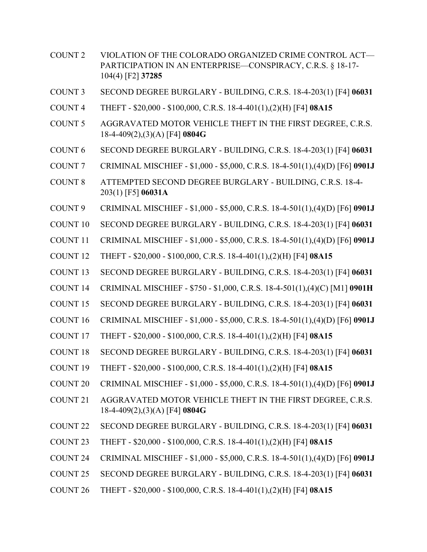- COUNT 2 VIOLATION OF THE COLORADO ORGANIZED CRIME CONTROL ACT— PARTICIPATION IN AN ENTERPRISE—CONSPIRACY, C.R.S. § 18-17- 104(4) [F2] **37285**
- COUNT 3 SECOND DEGREE BURGLARY BUILDING, C.R.S. 18-4-203(1) [F4] **06031**
- COUNT 4 THEFT \$20,000 \$100,000, C.R.S. 18-4-401(1),(2)(H) [F4] **08A15**
- COUNT 5 AGGRAVATED MOTOR VEHICLE THEFT IN THE FIRST DEGREE, C.R.S. 18-4-409(2),(3)(A) [F4] **0804G**
- COUNT 6 SECOND DEGREE BURGLARY BUILDING, C.R.S. 18-4-203(1) [F4] **06031**
- COUNT 7 CRIMINAL MISCHIEF \$1,000 \$5,000, C.R.S. 18-4-501(1),(4)(D) [F6] **0901J**
- COUNT 8 ATTEMPTED SECOND DEGREE BURGLARY BUILDING, C.R.S. 18-4- 203(1) [F5] **06031A**
- COUNT 9 CRIMINAL MISCHIEF \$1,000 \$5,000, C.R.S. 18-4-501(1),(4)(D) [F6] **0901J**
- COUNT 10 SECOND DEGREE BURGLARY BUILDING, C.R.S. 18-4-203(1) [F4] **06031**
- COUNT 11 CRIMINAL MISCHIEF \$1,000 \$5,000, C.R.S. 18-4-501(1),(4)(D) [F6] **0901J**
- COUNT 12 THEFT \$20,000 \$100,000, C.R.S. 18-4-401(1),(2)(H) [F4] **08A15**
- COUNT 13 SECOND DEGREE BURGLARY BUILDING, C.R.S. 18-4-203(1) [F4] **06031**
- COUNT 14 CRIMINAL MISCHIEF \$750 \$1,000, C.R.S. 18-4-501(1),(4)(C) [M1] **0901H**
- COUNT 15 SECOND DEGREE BURGLARY BUILDING, C.R.S. 18-4-203(1) [F4] **06031**
- COUNT 16 CRIMINAL MISCHIEF \$1,000 \$5,000, C.R.S. 18-4-501(1),(4)(D) [F6] **0901J**
- COUNT 17 THEFT \$20,000 \$100,000, C.R.S. 18-4-401(1),(2)(H) [F4] **08A15**
- COUNT 18 SECOND DEGREE BURGLARY BUILDING, C.R.S. 18-4-203(1) [F4] **06031**
- COUNT 19 THEFT \$20,000 \$100,000, C.R.S. 18-4-401(1),(2)(H) [F4] **08A15**
- COUNT 20 CRIMINAL MISCHIEF \$1,000 \$5,000, C.R.S. 18-4-501(1),(4)(D) [F6] **0901J**
- COUNT 21 AGGRAVATED MOTOR VEHICLE THEFT IN THE FIRST DEGREE, C.R.S. 18-4-409(2),(3)(A) [F4] **0804G**
- COUNT 22 SECOND DEGREE BURGLARY BUILDING, C.R.S. 18-4-203(1) [F4] **06031**
- COUNT 23 THEFT \$20,000 \$100,000, C.R.S. 18-4-401(1),(2)(H) [F4] **08A15**
- COUNT 24 CRIMINAL MISCHIEF \$1,000 \$5,000, C.R.S. 18-4-501(1),(4)(D) [F6] **0901J**
- COUNT 25 SECOND DEGREE BURGLARY BUILDING, C.R.S. 18-4-203(1) [F4] **06031**
- COUNT 26 THEFT \$20,000 \$100,000, C.R.S. 18-4-401(1),(2)(H) [F4] **08A15**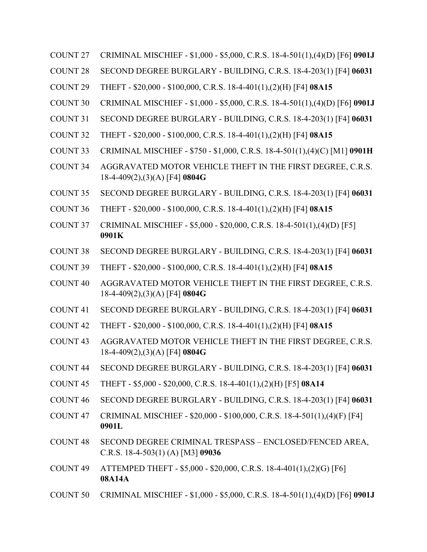- COUNT 27 CRIMINAL MISCHIEF \$1,000 \$5,000, C.R.S. 18-4-501(1),(4)(D) [F6] **0901J**
- COUNT 28 SECOND DEGREE BURGLARY BUILDING, C.R.S. 18-4-203(1) [F4] **06031**
- COUNT 29 THEFT \$20,000 \$100,000, C.R.S. 18-4-401(1),(2)(H) [F4] **08A15**
- COUNT 30 CRIMINAL MISCHIEF \$1,000 \$5,000, C.R.S. 18-4-501(1),(4)(D) [F6] **0901J**
- COUNT 31 SECOND DEGREE BURGLARY BUILDING, C.R.S. 18-4-203(1) [F4] **06031**
- COUNT 32 THEFT \$20,000 \$100,000, C.R.S. 18-4-401(1),(2)(H) [F4] **08A15**
- COUNT 33 CRIMINAL MISCHIEF \$750 \$1,000, C.R.S. 18-4-501(1),(4)(C) [M1] **0901H**
- COUNT 34 AGGRAVATED MOTOR VEHICLE THEFT IN THE FIRST DEGREE, C.R.S. 18-4-409(2),(3)(A) [F4] **0804G**
- COUNT 35 SECOND DEGREE BURGLARY BUILDING, C.R.S. 18-4-203(1) [F4] **06031**
- COUNT 36 THEFT \$20,000 \$100,000, C.R.S. 18-4-401(1),(2)(H) [F4] **08A15**
- COUNT 37 CRIMINAL MISCHIEF \$5,000 \$20,000, C.R.S. 18-4-501(1),(4)(D) [F5] **0901K**
- COUNT 38 SECOND DEGREE BURGLARY BUILDING, C.R.S. 18-4-203(1) [F4] **06031**
- COUNT 39 THEFT \$20,000 \$100,000, C.R.S. 18-4-401(1),(2)(H) [F4] **08A15**
- COUNT 40 AGGRAVATED MOTOR VEHICLE THEFT IN THE FIRST DEGREE, C.R.S. 18-4-409(2),(3)(A) [F4] **0804G**
- COUNT 41 SECOND DEGREE BURGLARY BUILDING, C.R.S. 18-4-203(1) [F4] **06031**
- COUNT 42 THEFT \$20,000 \$100,000, C.R.S. 18-4-401(1),(2)(H) [F4] **08A15**
- COUNT 43 AGGRAVATED MOTOR VEHICLE THEFT IN THE FIRST DEGREE, C.R.S. 18-4-409(2),(3)(A) [F4] **0804G**
- COUNT 44 SECOND DEGREE BURGLARY BUILDING, C.R.S. 18-4-203(1) [F4] **06031**
- COUNT 45 THEFT \$5,000 \$20,000, C.R.S. 18-4-401(1),(2)(H) [F5] **08A14**
- COUNT 46 SECOND DEGREE BURGLARY BUILDING, C.R.S. 18-4-203(1) [F4] **06031**
- COUNT 47 CRIMINAL MISCHIEF \$20,000 \$100,000, C.R.S. 18-4-501(1),(4)(F) [F4] **0901L**
- COUNT 48 SECOND DEGREE CRIMINAL TRESPASS ENCLOSED/FENCED AREA, C.R.S. 18-4-503(1) (A) [M3] **09036**
- COUNT 49 ATTEMPED THEFT \$5,000 \$20,000, C.R.S. 18-4-401(1),(2)(G) [F6] **08A14A**
- COUNT 50 CRIMINAL MISCHIEF \$1,000 \$5,000, C.R.S. 18-4-501(1),(4)(D) [F6] **0901J**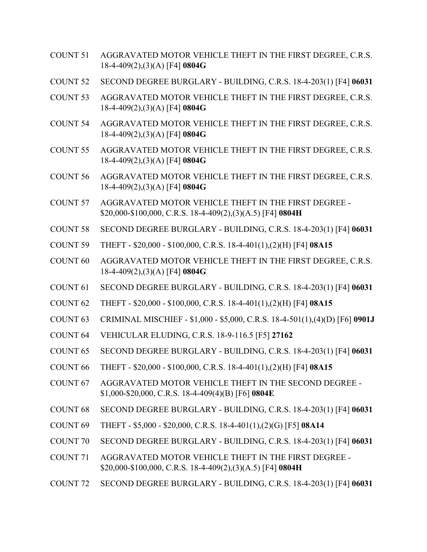- COUNT 51 AGGRAVATED MOTOR VEHICLE THEFT IN THE FIRST DEGREE, C.R.S. 18-4-409(2),(3)(A) [F4] **0804G**
- COUNT 52 SECOND DEGREE BURGLARY BUILDING, C.R.S. 18-4-203(1) [F4] **06031**
- COUNT 53 AGGRAVATED MOTOR VEHICLE THEFT IN THE FIRST DEGREE, C.R.S. 18-4-409(2),(3)(A) [F4] **0804G**
- COUNT 54 AGGRAVATED MOTOR VEHICLE THEFT IN THE FIRST DEGREE, C.R.S. 18-4-409(2),(3)(A) [F4] **0804G**
- COUNT 55 AGGRAVATED MOTOR VEHICLE THEFT IN THE FIRST DEGREE, C.R.S. 18-4-409(2),(3)(A) [F4] **0804G**
- COUNT 56 AGGRAVATED MOTOR VEHICLE THEFT IN THE FIRST DEGREE, C.R.S. 18-4-409(2),(3)(A) [F4] **0804G**
- COUNT 57 AGGRAVATED MOTOR VEHICLE THEFT IN THE FIRST DEGREE \$20,000-\$100,000, C.R.S. 18-4-409(2),(3)(A.5) [F4] **0804H**
- COUNT 58 SECOND DEGREE BURGLARY BUILDING, C.R.S. 18-4-203(1) [F4] **06031**
- COUNT 59 THEFT \$20,000 \$100,000, C.R.S. 18-4-401(1),(2)(H) [F4] **08A15**
- COUNT 60 AGGRAVATED MOTOR VEHICLE THEFT IN THE FIRST DEGREE, C.R.S. 18-4-409(2),(3)(A) [F4] **0804G**
- COUNT 61 SECOND DEGREE BURGLARY BUILDING, C.R.S. 18-4-203(1) [F4] **06031**
- COUNT 62 THEFT \$20,000 \$100,000, C.R.S. 18-4-401(1),(2)(H) [F4] **08A15**
- COUNT 63 CRIMINAL MISCHIEF \$1,000 \$5,000, C.R.S. 18-4-501(1),(4)(D) [F6] **0901J**
- COUNT 64 VEHICULAR ELUDING, C.R.S. 18-9-116.5 [F5] **27162**
- COUNT 65 SECOND DEGREE BURGLARY BUILDING, C.R.S. 18-4-203(1) [F4] **06031**
- COUNT 66 THEFT \$20,000 \$100,000, C.R.S. 18-4-401(1),(2)(H) [F4] **08A15**
- COUNT 67 AGGRAVATED MOTOR VEHICLE THEFT IN THE SECOND DEGREE \$1,000-\$20,000, C.R.S. 18-4-409(4)(B) [F6] **0804E**
- COUNT 68 SECOND DEGREE BURGLARY BUILDING, C.R.S. 18-4-203(1) [F4] **06031**
- COUNT 69 THEFT \$5,000 \$20,000, C.R.S. 18-4-401(1),(2)(G) [F5] **08A14**
- COUNT 70 SECOND DEGREE BURGLARY BUILDING, C.R.S. 18-4-203(1) [F4] **06031**
- COUNT 71 AGGRAVATED MOTOR VEHICLE THEFT IN THE FIRST DEGREE \$20,000-\$100,000, C.R.S. 18-4-409(2),(3)(A.5) [F4] **0804H**
- COUNT 72 SECOND DEGREE BURGLARY BUILDING, C.R.S. 18-4-203(1) [F4] **06031**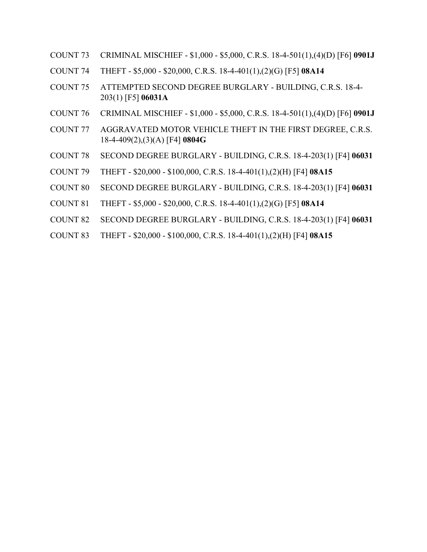- COUNT 73 CRIMINAL MISCHIEF \$1,000 \$5,000, C.R.S. 18-4-501(1),(4)(D) [F6] **0901J**
- COUNT 74 THEFT \$5,000 \$20,000, C.R.S. 18-4-401(1),(2)(G) [F5] **08A14**
- COUNT 75 ATTEMPTED SECOND DEGREE BURGLARY BUILDING, C.R.S. 18-4- 203(1) [F5] **06031A**
- COUNT 76 CRIMINAL MISCHIEF \$1,000 \$5,000, C.R.S. 18-4-501(1),(4)(D) [F6] **0901J**
- COUNT 77 AGGRAVATED MOTOR VEHICLE THEFT IN THE FIRST DEGREE, C.R.S. 18-4-409(2),(3)(A) [F4] **0804G**
- COUNT 78 SECOND DEGREE BURGLARY BUILDING, C.R.S. 18-4-203(1) [F4] **06031**
- COUNT 79 THEFT \$20,000 \$100,000, C.R.S. 18-4-401(1),(2)(H) [F4] **08A15**
- COUNT 80 SECOND DEGREE BURGLARY BUILDING, C.R.S. 18-4-203(1) [F4] **06031**
- COUNT 81 THEFT \$5,000 \$20,000, C.R.S. 18-4-401(1),(2)(G) [F5] **08A14**
- COUNT 82 SECOND DEGREE BURGLARY BUILDING, C.R.S. 18-4-203(1) [F4] **06031**
- COUNT 83 THEFT \$20,000 \$100,000, C.R.S. 18-4-401(1),(2)(H) [F4] **08A15**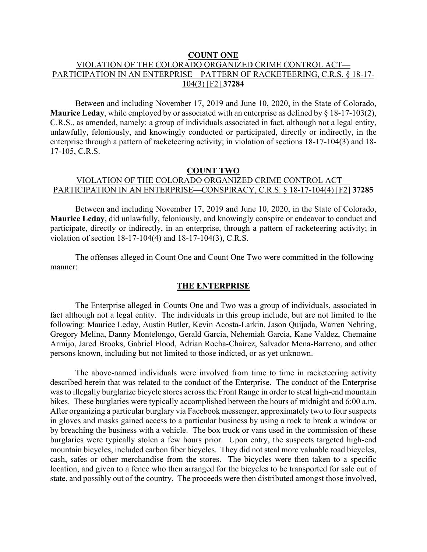#### **COUNT ONE**

# VIOLATION OF THE COLORADO ORGANIZED CRIME CONTROL ACT— PARTICIPATION IN AN ENTERPRISE—PATTERN OF RACKETEERING, C.R.S. § 18-17- 104(3) [F2] **37284**

Between and including November 17, 2019 and June 10, 2020, in the State of Colorado, **Maurice Leday**, while employed by or associated with an enterprise as defined by § 18-17-103(2), C.R.S., as amended, namely: a group of individuals associated in fact, although not a legal entity, unlawfully, feloniously, and knowingly conducted or participated, directly or indirectly, in the enterprise through a pattern of racketeering activity; in violation of sections 18-17-104(3) and 18- 17-105, C.R.S.

#### **COUNT TWO**

# VIOLATION OF THE COLORADO ORGANIZED CRIME CONTROL ACT— PARTICIPATION IN AN ENTERPRISE—CONSPIRACY, C.R.S. § 18-17-104(4) [F2] **37285**

Between and including November 17, 2019 and June 10, 2020, in the State of Colorado, **Maurice Leday**, did unlawfully, feloniously, and knowingly conspire or endeavor to conduct and participate, directly or indirectly, in an enterprise, through a pattern of racketeering activity; in violation of section 18-17-104(4) and 18-17-104(3), C.R.S.

The offenses alleged in Count One and Count One Two were committed in the following manner:

#### **THE ENTERPRISE**

The Enterprise alleged in Counts One and Two was a group of individuals, associated in fact although not a legal entity. The individuals in this group include, but are not limited to the following: Maurice Leday, Austin Butler, Kevin Acosta-Larkin, Jason Quijada, Warren Nehring, Gregory Melina, Danny Montelongo, Gerald Garcia, Nehemiah Garcia, Kane Valdez, Chemaine Armijo, Jared Brooks, Gabriel Flood, Adrian Rocha-Chairez, Salvador Mena-Barreno, and other persons known, including but not limited to those indicted, or as yet unknown.

The above-named individuals were involved from time to time in racketeering activity described herein that was related to the conduct of the Enterprise. The conduct of the Enterprise was to illegally burglarize bicycle stores across the Front Range in order to steal high-end mountain bikes. These burglaries were typically accomplished between the hours of midnight and 6:00 a.m. After organizing a particular burglary via Facebook messenger, approximately two to four suspects in gloves and masks gained access to a particular business by using a rock to break a window or by breaching the business with a vehicle. The box truck or vans used in the commission of these burglaries were typically stolen a few hours prior. Upon entry, the suspects targeted high-end mountain bicycles, included carbon fiber bicycles. They did not steal more valuable road bicycles, cash, safes or other merchandise from the stores. The bicycles were then taken to a specific location, and given to a fence who then arranged for the bicycles to be transported for sale out of state, and possibly out of the country. The proceeds were then distributed amongst those involved,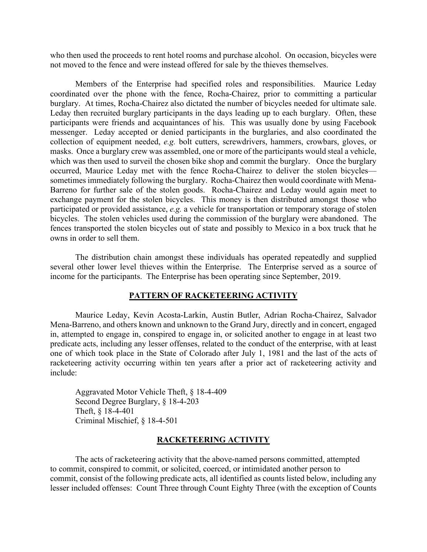who then used the proceeds to rent hotel rooms and purchase alcohol. On occasion, bicycles were not moved to the fence and were instead offered for sale by the thieves themselves.

Members of the Enterprise had specified roles and responsibilities. Maurice Leday coordinated over the phone with the fence, Rocha-Chairez, prior to committing a particular burglary. At times, Rocha-Chairez also dictated the number of bicycles needed for ultimate sale. Leday then recruited burglary participants in the days leading up to each burglary. Often, these participants were friends and acquaintances of his. This was usually done by using Facebook messenger. Leday accepted or denied participants in the burglaries, and also coordinated the collection of equipment needed, *e.g.* bolt cutters, screwdrivers, hammers, crowbars, gloves, or masks. Once a burglary crew was assembled, one or more of the participants would steal a vehicle, which was then used to surveil the chosen bike shop and commit the burglary. Once the burglary occurred, Maurice Leday met with the fence Rocha-Chairez to deliver the stolen bicycles sometimes immediately following the burglary. Rocha-Chairez then would coordinate with Mena-Barreno for further sale of the stolen goods. Rocha-Chairez and Leday would again meet to exchange payment for the stolen bicycles. This money is then distributed amongst those who participated or provided assistance, *e.g.* a vehicle for transportation or temporary storage of stolen bicycles. The stolen vehicles used during the commission of the burglary were abandoned. The fences transported the stolen bicycles out of state and possibly to Mexico in a box truck that he owns in order to sell them.

The distribution chain amongst these individuals has operated repeatedly and supplied several other lower level thieves within the Enterprise. The Enterprise served as a source of income for the participants. The Enterprise has been operating since September, 2019.

#### **PATTERN OF RACKETEERING ACTIVITY**

Maurice Leday, Kevin Acosta-Larkin, Austin Butler, Adrian Rocha-Chairez, Salvador Mena-Barreno, and others known and unknown to the Grand Jury, directly and in concert, engaged in, attempted to engage in, conspired to engage in, or solicited another to engage in at least two predicate acts, including any lesser offenses, related to the conduct of the enterprise, with at least one of which took place in the State of Colorado after July 1, 1981 and the last of the acts of racketeering activity occurring within ten years after a prior act of racketeering activity and include:

Aggravated Motor Vehicle Theft, § 18-4-409 Second Degree Burglary, § 18-4-203 Theft, § 18-4-401 Criminal Mischief, § 18-4-501

#### **RACKETEERING ACTIVITY**

The acts of racketeering activity that the above-named persons committed, attempted to commit, conspired to commit, or solicited, coerced, or intimidated another person to commit, consist of the following predicate acts, all identified as counts listed below, including any lesser included offenses: Count Three through Count Eighty Three (with the exception of Counts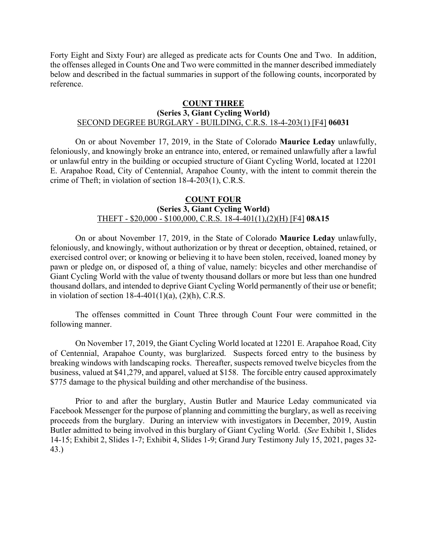Forty Eight and Sixty Four) are alleged as predicate acts for Counts One and Two. In addition, the offenses alleged in Counts One and Two were committed in the manner described immediately below and described in the factual summaries in support of the following counts, incorporated by reference.

## **COUNT THREE (Series 3, Giant Cycling World)** SECOND DEGREE BURGLARY - BUILDING, C.R.S. 18-4-203(1) [F4] **06031**

On or about November 17, 2019, in the State of Colorado **Maurice Leday** unlawfully, feloniously, and knowingly broke an entrance into, entered, or remained unlawfully after a lawful or unlawful entry in the building or occupied structure of Giant Cycling World, located at 12201 E. Arapahoe Road, City of Centennial, Arapahoe County, with the intent to commit therein the crime of Theft; in violation of section 18-4-203(1), C.R.S.

#### **COUNT FOUR (Series 3, Giant Cycling World)** THEFT - \$20,000 - \$100,000, C.R.S. 18-4-401(1),(2)(H) [F4] **08A15**

On or about November 17, 2019, in the State of Colorado **Maurice Leday** unlawfully, feloniously, and knowingly, without authorization or by threat or deception, obtained, retained, or exercised control over; or knowing or believing it to have been stolen, received, loaned money by pawn or pledge on, or disposed of, a thing of value, namely: bicycles and other merchandise of Giant Cycling World with the value of twenty thousand dollars or more but less than one hundred thousand dollars, and intended to deprive Giant Cycling World permanently of their use or benefit; in violation of section  $18-4-401(1)(a)$ ,  $(2)(h)$ , C.R.S.

The offenses committed in Count Three through Count Four were committed in the following manner.

On November 17, 2019, the Giant Cycling World located at 12201 E. Arapahoe Road, City of Centennial, Arapahoe County, was burglarized. Suspects forced entry to the business by breaking windows with landscaping rocks. Thereafter, suspects removed twelve bicycles from the business, valued at \$41,279, and apparel, valued at \$158. The forcible entry caused approximately \$775 damage to the physical building and other merchandise of the business.

Prior to and after the burglary, Austin Butler and Maurice Leday communicated via Facebook Messenger for the purpose of planning and committing the burglary, as well as receiving proceeds from the burglary. During an interview with investigators in December, 2019, Austin Butler admitted to being involved in this burglary of Giant Cycling World. (*See* Exhibit 1, Slides 14-15; Exhibit 2, Slides 1-7; Exhibit 4, Slides 1-9; Grand Jury Testimony July 15, 2021, pages 32- 43.)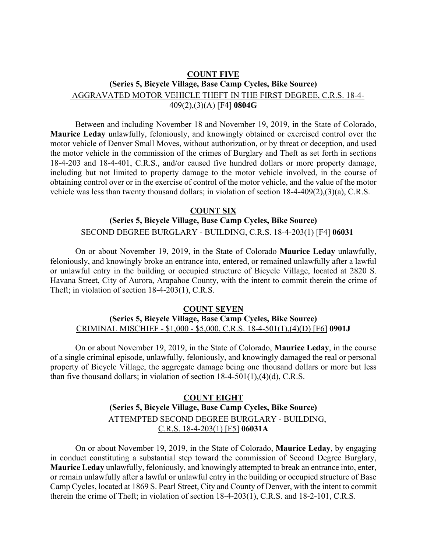# **COUNT FIVE (Series 5, Bicycle Village, Base Camp Cycles, Bike Source)** AGGRAVATED MOTOR VEHICLE THEFT IN THE FIRST DEGREE, C.R.S. 18-4-409(2),(3)(A) [F4] **0804G**

Between and including November 18 and November 19, 2019, in the State of Colorado, **Maurice Leday** unlawfully, feloniously, and knowingly obtained or exercised control over the motor vehicle of Denver Small Moves, without authorization, or by threat or deception, and used the motor vehicle in the commission of the crimes of Burglary and Theft as set forth in sections 18-4-203 and 18-4-401, C.R.S., and/or caused five hundred dollars or more property damage, including but not limited to property damage to the motor vehicle involved, in the course of obtaining control over or in the exercise of control of the motor vehicle, and the value of the motor vehicle was less than twenty thousand dollars; in violation of section 18-4-409(2),(3)(a), C.R.S.

# **COUNT SIX (Series 5, Bicycle Village, Base Camp Cycles, Bike Source)** r. SECOND DEGREE BURGLARY - BUILDING, C.R.S. 18-4-203(1) [F4] **06031**

On or about November 19, 2019, in the State of Colorado **Maurice Leday** unlawfully, feloniously, and knowingly broke an entrance into, entered, or remained unlawfully after a lawful or unlawful entry in the building or occupied structure of Bicycle Village, located at 2820 S. Havana Street, City of Aurora, Arapahoe County, with the intent to commit therein the crime of Theft; in violation of section 18-4-203(1), C.R.S.

#### **COUNT SEVEN (Series 5, Bicycle Village, Base Camp Cycles, Bike Source)** CRIMINAL MISCHIEF - \$1,000 - \$5,000, C.R.S. 18-4-501(1),(4)(D) [F6] **0901J**

On or about November 19, 2019, in the State of Colorado, **Maurice Leday**, in the course of a single criminal episode, unlawfully, feloniously, and knowingly damaged the real or personal property of Bicycle Village, the aggregate damage being one thousand dollars or more but less than five thousand dollars; in violation of section 18-4-501(1),(4)(d), C.R.S.

# **COUNT EIGHT (Series 5, Bicycle Village, Base Camp Cycles, Bike Source)** r. ATTEMPTED SECOND DEGREE BURGLARY - BUILDING, C.R.S. 18-4-203(1) [F5] **06031A**

On or about November 19, 2019, in the State of Colorado, **Maurice Leday**, by engaging in conduct constituting a substantial step toward the commission of Second Degree Burglary, **Maurice Leday** unlawfully, feloniously, and knowingly attempted to break an entrance into, enter, or remain unlawfully after a lawful or unlawful entry in the building or occupied structure of Base Camp Cycles, located at 1869 S. Pearl Street, City and County of Denver, with the intent to commit therein the crime of Theft; in violation of section 18-4-203(1), C.R.S. and 18-2-101, C.R.S.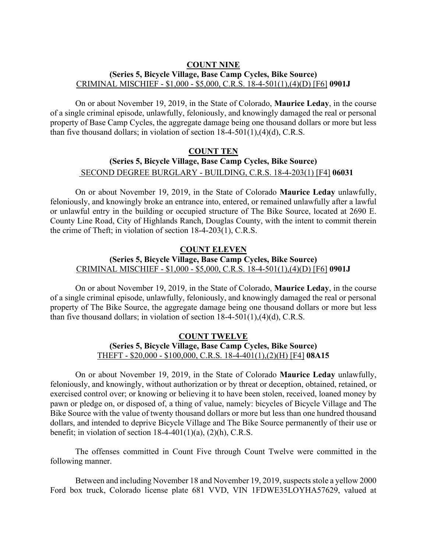#### **COUNT NINE (Series 5, Bicycle Village, Base Camp Cycles, Bike Source)** CRIMINAL MISCHIEF - \$1,000 - \$5,000, C.R.S. 18-4-501(1),(4)(D) [F6] **0901J**

On or about November 19, 2019, in the State of Colorado, **Maurice Leday**, in the course of a single criminal episode, unlawfully, feloniously, and knowingly damaged the real or personal property of Base Camp Cycles, the aggregate damage being one thousand dollars or more but less than five thousand dollars; in violation of section 18-4-501(1),(4)(d), C.R.S.

# **COUNT TEN (Series 5, Bicycle Village, Base Camp Cycles, Bike Source)** r. SECOND DEGREE BURGLARY - BUILDING, C.R.S. 18-4-203(1) [F4] **06031**

On or about November 19, 2019, in the State of Colorado **Maurice Leday** unlawfully, feloniously, and knowingly broke an entrance into, entered, or remained unlawfully after a lawful or unlawful entry in the building or occupied structure of The Bike Source, located at 2690 E. County Line Road, City of Highlands Ranch, Douglas County, with the intent to commit therein the crime of Theft; in violation of section 18-4-203(1), C.R.S.

## **COUNT ELEVEN (Series 5, Bicycle Village, Base Camp Cycles, Bike Source)** CRIMINAL MISCHIEF - \$1,000 - \$5,000, C.R.S. 18-4-501(1),(4)(D) [F6] **0901J**

On or about November 19, 2019, in the State of Colorado, **Maurice Leday**, in the course of a single criminal episode, unlawfully, feloniously, and knowingly damaged the real or personal property of The Bike Source, the aggregate damage being one thousand dollars or more but less than five thousand dollars; in violation of section 18-4-501(1),(4)(d), C.R.S.

# **COUNT TWELVE (Series 5, Bicycle Village, Base Camp Cycles, Bike Source)** THEFT - \$20,000 - \$100,000, C.R.S. 18-4-401(1),(2)(H) [F4] **08A15**

On or about November 19, 2019, in the State of Colorado **Maurice Leday** unlawfully, feloniously, and knowingly, without authorization or by threat or deception, obtained, retained, or exercised control over; or knowing or believing it to have been stolen, received, loaned money by pawn or pledge on, or disposed of, a thing of value, namely: bicycles of Bicycle Village and The Bike Source with the value of twenty thousand dollars or more but less than one hundred thousand dollars, and intended to deprive Bicycle Village and The Bike Source permanently of their use or benefit; in violation of section  $18-4-401(1)(a)$ ,  $(2)(h)$ , C.R.S.

The offenses committed in Count Five through Count Twelve were committed in the following manner.

Between and including November 18 and November 19, 2019, suspects stole a yellow 2000 Ford box truck, Colorado license plate 681 VVD, VIN 1FDWE35LOYHA57629, valued at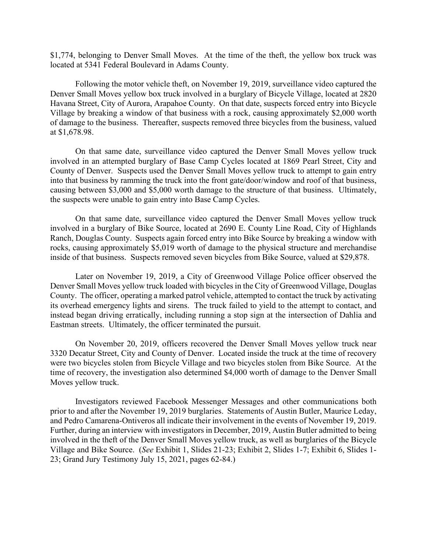\$1,774, belonging to Denver Small Moves. At the time of the theft, the yellow box truck was located at 5341 Federal Boulevard in Adams County.

Following the motor vehicle theft, on November 19, 2019, surveillance video captured the Denver Small Moves yellow box truck involved in a burglary of Bicycle Village, located at 2820 Havana Street, City of Aurora, Arapahoe County. On that date, suspects forced entry into Bicycle Village by breaking a window of that business with a rock, causing approximately \$2,000 worth of damage to the business. Thereafter, suspects removed three bicycles from the business, valued at \$1,678.98.

On that same date, surveillance video captured the Denver Small Moves yellow truck involved in an attempted burglary of Base Camp Cycles located at 1869 Pearl Street, City and County of Denver. Suspects used the Denver Small Moves yellow truck to attempt to gain entry into that business by ramming the truck into the front gate/door/window and roof of that business, causing between \$3,000 and \$5,000 worth damage to the structure of that business. Ultimately, the suspects were unable to gain entry into Base Camp Cycles.

On that same date, surveillance video captured the Denver Small Moves yellow truck involved in a burglary of Bike Source, located at 2690 E. County Line Road, City of Highlands Ranch, Douglas County. Suspects again forced entry into Bike Source by breaking a window with rocks, causing approximately \$5,019 worth of damage to the physical structure and merchandise inside of that business. Suspects removed seven bicycles from Bike Source, valued at \$29,878.

Later on November 19, 2019, a City of Greenwood Village Police officer observed the Denver Small Moves yellow truck loaded with bicycles in the City of Greenwood Village, Douglas County. The officer, operating a marked patrol vehicle, attempted to contact the truck by activating its overhead emergency lights and sirens. The truck failed to yield to the attempt to contact, and instead began driving erratically, including running a stop sign at the intersection of Dahlia and Eastman streets. Ultimately, the officer terminated the pursuit.

On November 20, 2019, officers recovered the Denver Small Moves yellow truck near 3320 Decatur Street, City and County of Denver. Located inside the truck at the time of recovery were two bicycles stolen from Bicycle Village and two bicycles stolen from Bike Source. At the time of recovery, the investigation also determined \$4,000 worth of damage to the Denver Small Moves yellow truck.

Investigators reviewed Facebook Messenger Messages and other communications both prior to and after the November 19, 2019 burglaries. Statements of Austin Butler, Maurice Leday, and Pedro Camarena-Ontiveros all indicate their involvement in the events of November 19, 2019. Further, during an interview with investigators in December, 2019, Austin Butler admitted to being involved in the theft of the Denver Small Moves yellow truck, as well as burglaries of the Bicycle Village and Bike Source. (*See* Exhibit 1, Slides 21-23; Exhibit 2, Slides 1-7; Exhibit 6, Slides 1- 23; Grand Jury Testimony July 15, 2021, pages 62-84.)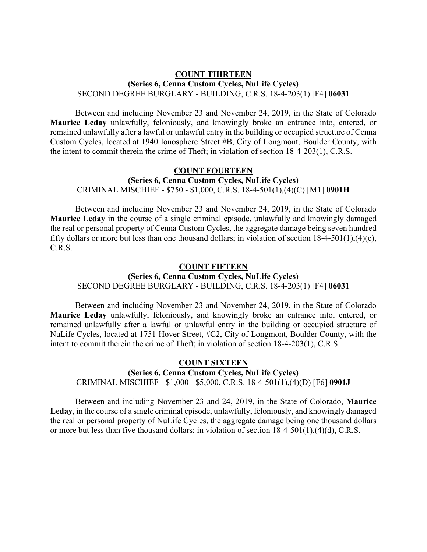#### **COUNT THIRTEEN (Series 6, Cenna Custom Cycles, NuLife Cycles)** SECOND DEGREE BURGLARY - BUILDING, C.R.S. 18-4-203(1) [F4] **06031**

Between and including November 23 and November 24, 2019, in the State of Colorado **Maurice Leday** unlawfully, feloniously, and knowingly broke an entrance into, entered, or remained unlawfully after a lawful or unlawful entry in the building or occupied structure of Cenna Custom Cycles, located at 1940 Ionosphere Street #B, City of Longmont, Boulder County, with the intent to commit therein the crime of Theft; in violation of section 18-4-203(1), C.R.S.

#### **COUNT FOURTEEN (Series 6, Cenna Custom Cycles, NuLife Cycles)** CRIMINAL MISCHIEF - \$750 - \$1,000, C.R.S. 18-4-501(1),(4)(C) [M1] **0901H**

Between and including November 23 and November 24, 2019, in the State of Colorado **Maurice Leday** in the course of a single criminal episode, unlawfully and knowingly damaged the real or personal property of Cenna Custom Cycles, the aggregate damage being seven hundred fifty dollars or more but less than one thousand dollars; in violation of section 18-4-501(1),(4)(c), C.R.S.

#### **COUNT FIFTEEN (Series 6, Cenna Custom Cycles, NuLife Cycles)** SECOND DEGREE BURGLARY - BUILDING, C.R.S. 18-4-203(1) [F4] **06031**

Between and including November 23 and November 24, 2019, in the State of Colorado **Maurice Leday** unlawfully, feloniously, and knowingly broke an entrance into, entered, or remained unlawfully after a lawful or unlawful entry in the building or occupied structure of NuLife Cycles, located at 1751 Hover Street, #C2, City of Longmont, Boulder County, with the intent to commit therein the crime of Theft; in violation of section 18-4-203(1), C.R.S.

## **COUNT SIXTEEN (Series 6, Cenna Custom Cycles, NuLife Cycles)** CRIMINAL MISCHIEF - \$1,000 - \$5,000, C.R.S. 18-4-501(1),(4)(D) [F6] **0901J**

Between and including November 23 and 24, 2019, in the State of Colorado, **Maurice**  Leday, in the course of a single criminal episode, unlawfully, feloniously, and knowingly damaged the real or personal property of NuLife Cycles, the aggregate damage being one thousand dollars or more but less than five thousand dollars; in violation of section 18-4-501(1),(4)(d), C.R.S.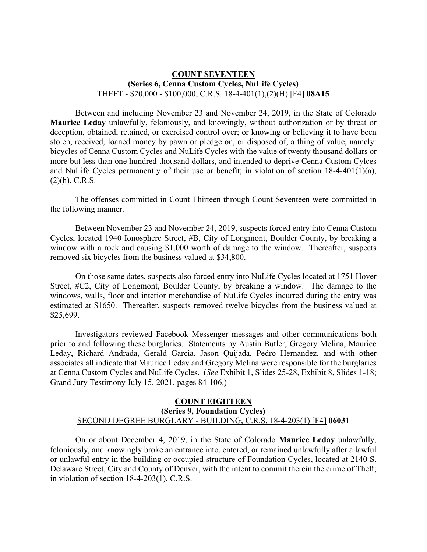#### **COUNT SEVENTEEN (Series 6, Cenna Custom Cycles, NuLife Cycles)** THEFT - \$20,000 - \$100,000, C.R.S. 18-4-401(1),(2)(H) [F4] **08A15**

Between and including November 23 and November 24, 2019, in the State of Colorado **Maurice Leday** unlawfully, feloniously, and knowingly, without authorization or by threat or deception, obtained, retained, or exercised control over; or knowing or believing it to have been stolen, received, loaned money by pawn or pledge on, or disposed of, a thing of value, namely: bicycles of Cenna Custom Cycles and NuLife Cycles with the value of twenty thousand dollars or more but less than one hundred thousand dollars, and intended to deprive Cenna Custom Cylces and NuLife Cycles permanently of their use or benefit; in violation of section 18-4-401(1)(a), (2)(h), C.R.S.

The offenses committed in Count Thirteen through Count Seventeen were committed in the following manner.

Between November 23 and November 24, 2019, suspects forced entry into Cenna Custom Cycles, located 1940 Ionosphere Street, #B, City of Longmont, Boulder County, by breaking a window with a rock and causing \$1,000 worth of damage to the window. Thereafter, suspects removed six bicycles from the business valued at \$34,800.

On those same dates, suspects also forced entry into NuLife Cycles located at 1751 Hover Street, #C2, City of Longmont, Boulder County, by breaking a window. The damage to the windows, walls, floor and interior merchandise of NuLife Cycles incurred during the entry was estimated at \$1650. Thereafter, suspects removed twelve bicycles from the business valued at \$25,699.

Investigators reviewed Facebook Messenger messages and other communications both prior to and following these burglaries. Statements by Austin Butler, Gregory Melina, Maurice Leday, Richard Andrada, Gerald Garcia, Jason Quijada, Pedro Hernandez, and with other associates all indicate that Maurice Leday and Gregory Melina were responsible for the burglaries at Cenna Custom Cycles and NuLife Cycles. (*See* Exhibit 1, Slides 25-28, Exhibit 8, Slides 1-18; Grand Jury Testimony July 15, 2021, pages 84-106.)

#### **COUNT EIGHTEEN (Series 9, Foundation Cycles)** SECOND DEGREE BURGLARY - BUILDING, C.R.S. 18-4-203(1) [F4] **06031**

On or about December 4, 2019, in the State of Colorado **Maurice Leday** unlawfully, feloniously, and knowingly broke an entrance into, entered, or remained unlawfully after a lawful or unlawful entry in the building or occupied structure of Foundation Cycles, located at 2140 S. Delaware Street, City and County of Denver, with the intent to commit therein the crime of Theft; in violation of section 18-4-203(1), C.R.S.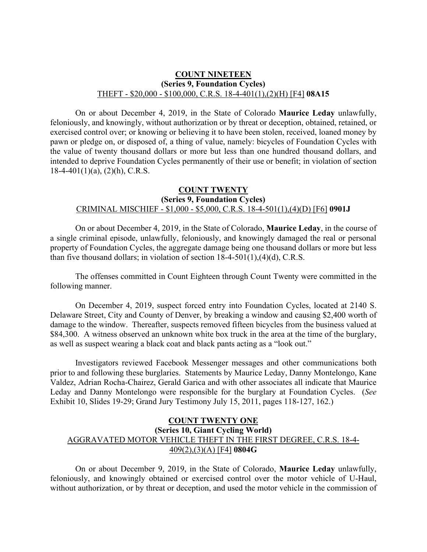#### **COUNT NINETEEN (Series 9, Foundation Cycles)** THEFT - \$20,000 - \$100,000, C.R.S. 18-4-401(1),(2)(H) [F4] **08A15**

On or about December 4, 2019, in the State of Colorado **Maurice Leday** unlawfully, feloniously, and knowingly, without authorization or by threat or deception, obtained, retained, or exercised control over; or knowing or believing it to have been stolen, received, loaned money by pawn or pledge on, or disposed of, a thing of value, namely: bicycles of Foundation Cycles with the value of twenty thousand dollars or more but less than one hundred thousand dollars, and intended to deprive Foundation Cycles permanently of their use or benefit; in violation of section  $18-4-401(1)(a)$ ,  $(2)(h)$ , C.R.S.

# **COUNT TWENTY (Series 9, Foundation Cycles)** CRIMINAL MISCHIEF - \$1,000 - \$5,000, C.R.S. 18-4-501(1),(4)(D) [F6] **0901J**

On or about December 4, 2019, in the State of Colorado, **Maurice Leday**, in the course of a single criminal episode, unlawfully, feloniously, and knowingly damaged the real or personal property of Foundation Cycles, the aggregate damage being one thousand dollars or more but less than five thousand dollars; in violation of section 18-4-501(1),(4)(d), C.R.S.

The offenses committed in Count Eighteen through Count Twenty were committed in the following manner.

On December 4, 2019, suspect forced entry into Foundation Cycles, located at 2140 S. Delaware Street, City and County of Denver, by breaking a window and causing \$2,400 worth of damage to the window. Thereafter, suspects removed fifteen bicycles from the business valued at \$84,300. A witness observed an unknown white box truck in the area at the time of the burglary, as well as suspect wearing a black coat and black pants acting as a "look out."

Investigators reviewed Facebook Messenger messages and other communications both prior to and following these burglaries. Statements by Maurice Leday, Danny Montelongo, Kane Valdez, Adrian Rocha-Chairez, Gerald Garica and with other associates all indicate that Maurice Leday and Danny Montelongo were responsible for the burglary at Foundation Cycles. (*See* Exhibit 10, Slides 19-29; Grand Jury Testimony July 15, 2011, pages 118-127, 162.)

# **COUNT TWENTY ONE (Series 10, Giant Cycling World)** AGGRAVATED MOTOR VEHICLE THEFT IN THE FIRST DEGREE, C.R.S. 18-4- 409(2),(3)(A) [F4] **0804G**

On or about December 9, 2019, in the State of Colorado, **Maurice Leday** unlawfully, feloniously, and knowingly obtained or exercised control over the motor vehicle of U-Haul, without authorization, or by threat or deception, and used the motor vehicle in the commission of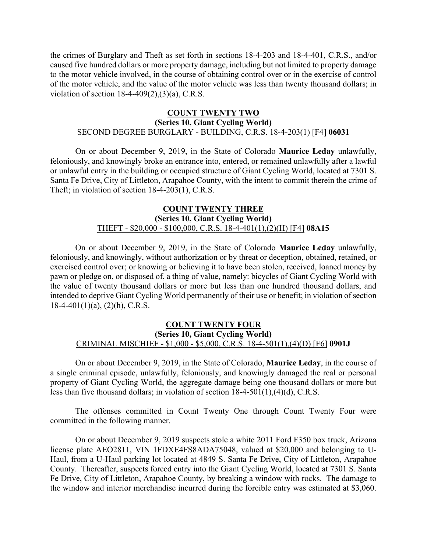the crimes of Burglary and Theft as set forth in sections 18-4-203 and 18-4-401, C.R.S., and/or caused five hundred dollars or more property damage, including but not limited to property damage to the motor vehicle involved, in the course of obtaining control over or in the exercise of control of the motor vehicle, and the value of the motor vehicle was less than twenty thousand dollars; in violation of section 18-4-409(2),(3)(a), C.R.S.

## **COUNT TWENTY TWO (Series 10, Giant Cycling World)** SECOND DEGREE BURGLARY - BUILDING, C.R.S. 18-4-203(1) [F4] **06031**

On or about December 9, 2019, in the State of Colorado **Maurice Leday** unlawfully, feloniously, and knowingly broke an entrance into, entered, or remained unlawfully after a lawful or unlawful entry in the building or occupied structure of Giant Cycling World, located at 7301 S. Santa Fe Drive, City of Littleton, Arapahoe County, with the intent to commit therein the crime of Theft; in violation of section 18-4-203(1), C.R.S.

#### **COUNT TWENTY THREE (Series 10, Giant Cycling World)** THEFT - \$20,000 - \$100,000, C.R.S. 18-4-401(1),(2)(H) [F4] **08A15**

On or about December 9, 2019, in the State of Colorado **Maurice Leday** unlawfully, feloniously, and knowingly, without authorization or by threat or deception, obtained, retained, or exercised control over; or knowing or believing it to have been stolen, received, loaned money by pawn or pledge on, or disposed of, a thing of value, namely: bicycles of Giant Cycling World with the value of twenty thousand dollars or more but less than one hundred thousand dollars, and intended to deprive Giant Cycling World permanently of their use or benefit; in violation of section  $18-4-401(1)(a)$ ,  $(2)(h)$ , C.R.S.

## **COUNT TWENTY FOUR (Series 10, Giant Cycling World)** CRIMINAL MISCHIEF - \$1,000 - \$5,000, C.R.S. 18-4-501(1),(4)(D) [F6] **0901J**

On or about December 9, 2019, in the State of Colorado, **Maurice Leday**, in the course of a single criminal episode, unlawfully, feloniously, and knowingly damaged the real or personal property of Giant Cycling World, the aggregate damage being one thousand dollars or more but less than five thousand dollars; in violation of section 18-4-501(1),(4)(d), C.R.S.

The offenses committed in Count Twenty One through Count Twenty Four were committed in the following manner.

On or about December 9, 2019 suspects stole a white 2011 Ford F350 box truck, Arizona license plate AEO2811, VIN 1FDXE4FS8ADA75048, valued at \$20,000 and belonging to U-Haul, from a U-Haul parking lot located at 4849 S. Santa Fe Drive, City of Littleton, Arapahoe County. Thereafter, suspects forced entry into the Giant Cycling World, located at 7301 S. Santa Fe Drive, City of Littleton, Arapahoe County, by breaking a window with rocks. The damage to the window and interior merchandise incurred during the forcible entry was estimated at \$3,060.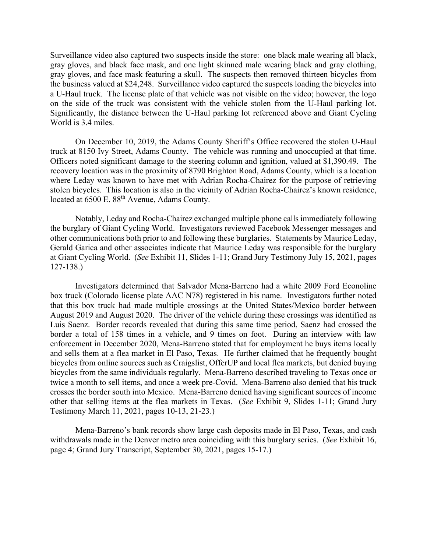Surveillance video also captured two suspects inside the store: one black male wearing all black, gray gloves, and black face mask, and one light skinned male wearing black and gray clothing, gray gloves, and face mask featuring a skull. The suspects then removed thirteen bicycles from the business valued at \$24,248. Surveillance video captured the suspects loading the bicycles into a U-Haul truck. The license plate of that vehicle was not visible on the video; however, the logo on the side of the truck was consistent with the vehicle stolen from the U-Haul parking lot. Significantly, the distance between the U-Haul parking lot referenced above and Giant Cycling World is 3.4 miles.

On December 10, 2019, the Adams County Sheriff's Office recovered the stolen U-Haul truck at 8150 Ivy Street, Adams County. The vehicle was running and unoccupied at that time. Officers noted significant damage to the steering column and ignition, valued at \$1,390.49. The recovery location was in the proximity of 8790 Brighton Road, Adams County, which is a location where Leday was known to have met with Adrian Rocha-Chairez for the purpose of retrieving stolen bicycles. This location is also in the vicinity of Adrian Rocha-Chairez's known residence, located at 6500 E. 88<sup>th</sup> Avenue, Adams County.

Notably, Leday and Rocha-Chairez exchanged multiple phone calls immediately following the burglary of Giant Cycling World. Investigators reviewed Facebook Messenger messages and other communications both prior to and following these burglaries. Statements by Maurice Leday, Gerald Garica and other associates indicate that Maurice Leday was responsible for the burglary at Giant Cycling World. (*See* Exhibit 11, Slides 1-11; Grand Jury Testimony July 15, 2021, pages 127-138.)

Investigators determined that Salvador Mena-Barreno had a white 2009 Ford Econoline box truck (Colorado license plate AAC N78) registered in his name. Investigators further noted that this box truck had made multiple crossings at the United States/Mexico border between August 2019 and August 2020. The driver of the vehicle during these crossings was identified as Luis Saenz. Border records revealed that during this same time period, Saenz had crossed the border a total of 158 times in a vehicle, and 9 times on foot. During an interview with law enforcement in December 2020, Mena-Barreno stated that for employment he buys items locally and sells them at a flea market in El Paso, Texas. He further claimed that he frequently bought bicycles from online sources such as Craigslist, OfferUP and local flea markets, but denied buying bicycles from the same individuals regularly. Mena-Barreno described traveling to Texas once or twice a month to sell items, and once a week pre-Covid. Mena-Barreno also denied that his truck crosses the border south into Mexico. Mena-Barreno denied having significant sources of income other that selling items at the flea markets in Texas. (*See* Exhibit 9, Slides 1-11; Grand Jury Testimony March 11, 2021, pages 10-13, 21-23.)

Mena-Barreno's bank records show large cash deposits made in El Paso, Texas, and cash withdrawals made in the Denver metro area coinciding with this burglary series. (*See* Exhibit 16, page 4; Grand Jury Transcript, September 30, 2021, pages 15-17.)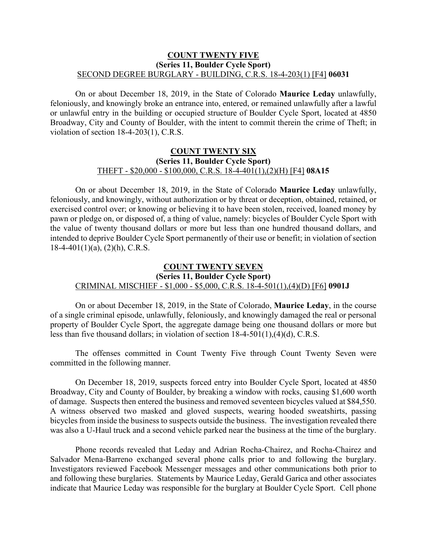#### **COUNT TWENTY FIVE (Series 11, Boulder Cycle Sport)** SECOND DEGREE BURGLARY - BUILDING, C.R.S. 18-4-203(1) [F4] **06031**

On or about December 18, 2019, in the State of Colorado **Maurice Leday** unlawfully, feloniously, and knowingly broke an entrance into, entered, or remained unlawfully after a lawful or unlawful entry in the building or occupied structure of Boulder Cycle Sport, located at 4850 Broadway, City and County of Boulder, with the intent to commit therein the crime of Theft; in violation of section 18-4-203(1), C.R.S.

#### **COUNT TWENTY SIX (Series 11, Boulder Cycle Sport)** THEFT - \$20,000 - \$100,000, C.R.S. 18-4-401(1),(2)(H) [F4] **08A15**

On or about December 18, 2019, in the State of Colorado **Maurice Leday** unlawfully, feloniously, and knowingly, without authorization or by threat or deception, obtained, retained, or exercised control over; or knowing or believing it to have been stolen, received, loaned money by pawn or pledge on, or disposed of, a thing of value, namely: bicycles of Boulder Cycle Sport with the value of twenty thousand dollars or more but less than one hundred thousand dollars, and intended to deprive Boulder Cycle Sport permanently of their use or benefit; in violation of section  $18-4-401(1)(a)$ ,  $(2)(h)$ , C.R.S.

# **COUNT TWENTY SEVEN (Series 11, Boulder Cycle Sport)** CRIMINAL MISCHIEF - \$1,000 - \$5,000, C.R.S. 18-4-501(1),(4)(D) [F6] **0901J**

On or about December 18, 2019, in the State of Colorado, **Maurice Leday**, in the course of a single criminal episode, unlawfully, feloniously, and knowingly damaged the real or personal property of Boulder Cycle Sport, the aggregate damage being one thousand dollars or more but less than five thousand dollars; in violation of section 18-4-501(1),(4)(d), C.R.S.

The offenses committed in Count Twenty Five through Count Twenty Seven were committed in the following manner.

On December 18, 2019, suspects forced entry into Boulder Cycle Sport, located at 4850 Broadway, City and County of Boulder, by breaking a window with rocks, causing \$1,600 worth of damage. Suspects then entered the business and removed seventeen bicycles valued at \$84,550. A witness observed two masked and gloved suspects, wearing hooded sweatshirts, passing bicycles from inside the business to suspects outside the business. The investigation revealed there was also a U-Haul truck and a second vehicle parked near the business at the time of the burglary.

Phone records revealed that Leday and Adrian Rocha-Chairez, and Rocha-Chairez and Salvador Mena-Barreno exchanged several phone calls prior to and following the burglary. Investigators reviewed Facebook Messenger messages and other communications both prior to and following these burglaries. Statements by Maurice Leday, Gerald Garica and other associates indicate that Maurice Leday was responsible for the burglary at Boulder Cycle Sport. Cell phone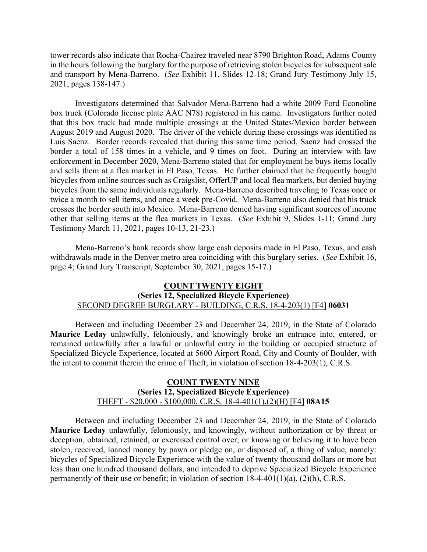tower records also indicate that Rocha-Chairez traveled near 8790 Brighton Road, Adams County in the hours following the burglary for the purpose of retrieving stolen bicycles for subsequent sale and transport by Mena-Barreno. (*See* Exhibit 11, Slides 12-18; Grand Jury Testimony July 15, 2021, pages 138-147.)

Investigators determined that Salvador Mena-Barreno had a white 2009 Ford Econoline box truck (Colorado license plate AAC N78) registered in his name. Investigators further noted that this box truck had made multiple crossings at the United States/Mexico border between August 2019 and August 2020. The driver of the vehicle during these crossings was identified as Luis Saenz. Border records revealed that during this same time period, Saenz had crossed the border a total of 158 times in a vehicle, and 9 times on foot. During an interview with law enforcement in December 2020, Mena-Barreno stated that for employment he buys items locally and sells them at a flea market in El Paso, Texas. He further claimed that he frequently bought bicycles from online sources such as Craigslist, OfferUP and local flea markets, but denied buying bicycles from the same individuals regularly. Mena-Barreno described traveling to Texas once or twice a month to sell items, and once a week pre-Covid. Mena-Barreno also denied that his truck crosses the border south into Mexico. Mena-Barreno denied having significant sources of income other that selling items at the flea markets in Texas. (*See* Exhibit 9, Slides 1-11; Grand Jury Testimony March 11, 2021, pages 10-13, 21-23.)

Mena-Barreno's bank records show large cash deposits made in El Paso, Texas, and cash withdrawals made in the Denver metro area coinciding with this burglary series. (*See* Exhibit 16, page 4; Grand Jury Transcript, September 30, 2021, pages 15-17.)

#### **COUNT TWENTY EIGHT (Series 12, Specialized Bicycle Experience)** SECOND DEGREE BURGLARY - BUILDING, C.R.S. 18-4-203(1) [F4] **06031**

Between and including December 23 and December 24, 2019, in the State of Colorado **Maurice Leday** unlawfully, feloniously, and knowingly broke an entrance into, entered, or remained unlawfully after a lawful or unlawful entry in the building or occupied structure of Specialized Bicycle Experience, located at 5600 Airport Road, City and County of Boulder, with the intent to commit therein the crime of Theft; in violation of section 18-4-203(1), C.R.S.

## **COUNT TWENTY NINE (Series 12, Specialized Bicycle Experience)** THEFT - \$20,000 - \$100,000, C.R.S. 18-4-401(1),(2)(H) [F4] **08A15**

Between and including December 23 and December 24, 2019, in the State of Colorado **Maurice Leday** unlawfully, feloniously, and knowingly, without authorization or by threat or deception, obtained, retained, or exercised control over; or knowing or believing it to have been stolen, received, loaned money by pawn or pledge on, or disposed of, a thing of value, namely: bicycles of Specialized Bicycle Experience with the value of twenty thousand dollars or more but less than one hundred thousand dollars, and intended to deprive Specialized Bicycle Experience permanently of their use or benefit; in violation of section 18-4-401(1)(a), (2)(h), C.R.S.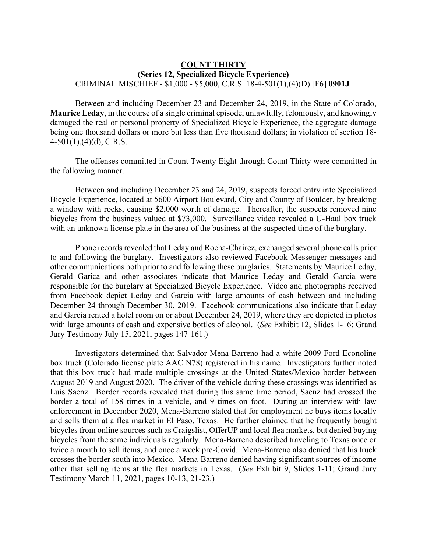#### **COUNT THIRTY (Series 12, Specialized Bicycle Experience)** CRIMINAL MISCHIEF - \$1,000 - \$5,000, C.R.S. 18-4-501(1),(4)(D) [F6] **0901J**

Between and including December 23 and December 24, 2019, in the State of Colorado, **Maurice Leday**, in the course of a single criminal episode, unlawfully, feloniously, and knowingly damaged the real or personal property of Specialized Bicycle Experience, the aggregate damage being one thousand dollars or more but less than five thousand dollars; in violation of section 18-  $4-501(1)$ , $(4)(d)$ , C.R.S.

The offenses committed in Count Twenty Eight through Count Thirty were committed in the following manner.

Between and including December 23 and 24, 2019, suspects forced entry into Specialized Bicycle Experience, located at 5600 Airport Boulevard, City and County of Boulder, by breaking a window with rocks, causing \$2,000 worth of damage. Thereafter, the suspects removed nine bicycles from the business valued at \$73,000. Surveillance video revealed a U-Haul box truck with an unknown license plate in the area of the business at the suspected time of the burglary.

Phone records revealed that Leday and Rocha-Chairez, exchanged several phone calls prior to and following the burglary. Investigators also reviewed Facebook Messenger messages and other communications both prior to and following these burglaries. Statements by Maurice Leday, Gerald Garica and other associates indicate that Maurice Leday and Gerald Garcia were responsible for the burglary at Specialized Bicycle Experience. Video and photographs received from Facebook depict Leday and Garcia with large amounts of cash between and including December 24 through December 30, 2019. Facebook communications also indicate that Leday and Garcia rented a hotel room on or about December 24, 2019, where they are depicted in photos with large amounts of cash and expensive bottles of alcohol. (*See* Exhibit 12, Slides 1-16; Grand Jury Testimony July 15, 2021, pages 147-161.)

Investigators determined that Salvador Mena-Barreno had a white 2009 Ford Econoline box truck (Colorado license plate AAC N78) registered in his name. Investigators further noted that this box truck had made multiple crossings at the United States/Mexico border between August 2019 and August 2020. The driver of the vehicle during these crossings was identified as Luis Saenz. Border records revealed that during this same time period, Saenz had crossed the border a total of 158 times in a vehicle, and 9 times on foot. During an interview with law enforcement in December 2020, Mena-Barreno stated that for employment he buys items locally and sells them at a flea market in El Paso, Texas. He further claimed that he frequently bought bicycles from online sources such as Craigslist, OfferUP and local flea markets, but denied buying bicycles from the same individuals regularly. Mena-Barreno described traveling to Texas once or twice a month to sell items, and once a week pre-Covid. Mena-Barreno also denied that his truck crosses the border south into Mexico. Mena-Barreno denied having significant sources of income other that selling items at the flea markets in Texas. (*See* Exhibit 9, Slides 1-11; Grand Jury Testimony March 11, 2021, pages 10-13, 21-23.)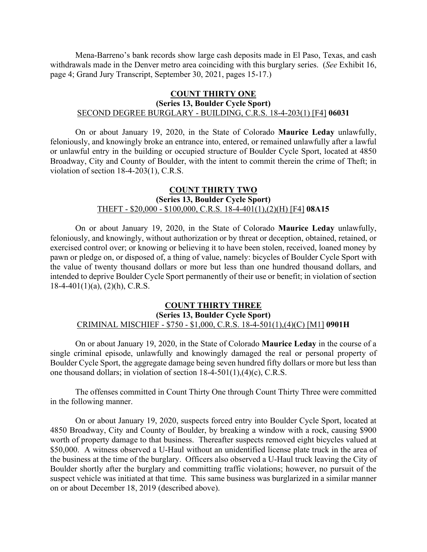Mena-Barreno's bank records show large cash deposits made in El Paso, Texas, and cash withdrawals made in the Denver metro area coinciding with this burglary series. (*See* Exhibit 16, page 4; Grand Jury Transcript, September 30, 2021, pages 15-17.)

# **COUNT THIRTY ONE**

## **(Series 13, Boulder Cycle Sport)** SECOND DEGREE BURGLARY - BUILDING, C.R.S. 18-4-203(1) [F4] **06031**

On or about January 19, 2020, in the State of Colorado **Maurice Leday** unlawfully, feloniously, and knowingly broke an entrance into, entered, or remained unlawfully after a lawful or unlawful entry in the building or occupied structure of Boulder Cycle Sport, located at 4850 Broadway, City and County of Boulder, with the intent to commit therein the crime of Theft; in violation of section 18-4-203(1), C.R.S.

## **COUNT THIRTY TWO (Series 13, Boulder Cycle Sport)** THEFT - \$20,000 - \$100,000, C.R.S. 18-4-401(1),(2)(H) [F4] **08A15**

On or about January 19, 2020, in the State of Colorado **Maurice Leday** unlawfully, feloniously, and knowingly, without authorization or by threat or deception, obtained, retained, or exercised control over; or knowing or believing it to have been stolen, received, loaned money by pawn or pledge on, or disposed of, a thing of value, namely: bicycles of Boulder Cycle Sport with the value of twenty thousand dollars or more but less than one hundred thousand dollars, and intended to deprive Boulder Cycle Sport permanently of their use or benefit; in violation of section  $18-4-401(1)(a)$ ,  $(2)(h)$ , C.R.S.

# **COUNT THIRTY THREE (Series 13, Boulder Cycle Sport)** CRIMINAL MISCHIEF - \$750 - \$1,000, C.R.S. 18-4-501(1),(4)(C) [M1] **0901H**

On or about January 19, 2020, in the State of Colorado **Maurice Leday** in the course of a single criminal episode, unlawfully and knowingly damaged the real or personal property of Boulder Cycle Sport, the aggregate damage being seven hundred fifty dollars or more but less than one thousand dollars; in violation of section 18-4-501(1),(4)(c), C.R.S.

The offenses committed in Count Thirty One through Count Thirty Three were committed in the following manner.

On or about January 19, 2020, suspects forced entry into Boulder Cycle Sport, located at 4850 Broadway, City and County of Boulder, by breaking a window with a rock, causing \$900 worth of property damage to that business. Thereafter suspects removed eight bicycles valued at \$50,000. A witness observed a U-Haul without an unidentified license plate truck in the area of the business at the time of the burglary. Officers also observed a U-Haul truck leaving the City of Boulder shortly after the burglary and committing traffic violations; however, no pursuit of the suspect vehicle was initiated at that time. This same business was burglarized in a similar manner on or about December 18, 2019 (described above).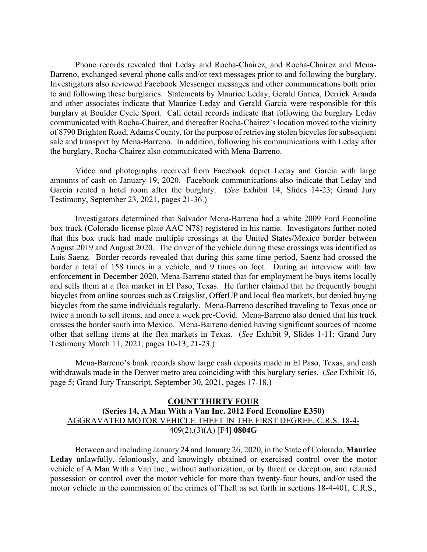Phone records revealed that Leday and Rocha-Chairez, and Rocha-Chairez and Mena-Barreno, exchanged several phone calls and/or text messages prior to and following the burglary. Investigators also reviewed Facebook Messenger messages and other communications both prior to and following these burglaries. Statements by Maurice Leday, Gerald Garica, Derrick Aranda and other associates indicate that Maurice Leday and Gerald Garcia were responsible for this burglary at Boulder Cycle Sport. Call detail records indicate that following the burglary Leday communicated with Rocha-Chairez, and thereafter Rocha-Chairez's location moved to the vicinity of 8790 Brighton Road, Adams County, for the purpose of retrieving stolen bicycles for subsequent sale and transport by Mena-Barreno. In addition, following his communications with Leday after the burglary, Rocha-Chairez also communicated with Mena-Barreno.

Video and photographs received from Facebook depict Leday and Garcia with large amounts of cash on January 19, 2020. Facebook communications also indicate that Leday and Garcia rented a hotel room after the burglary. (*See* Exhibit 14, Slides 14-23; Grand Jury Testimony, September 23, 2021, pages 21-36.)

Investigators determined that Salvador Mena-Barreno had a white 2009 Ford Econoline box truck (Colorado license plate AAC N78) registered in his name. Investigators further noted that this box truck had made multiple crossings at the United States/Mexico border between August 2019 and August 2020. The driver of the vehicle during these crossings was identified as Luis Saenz. Border records revealed that during this same time period, Saenz had crossed the border a total of 158 times in a vehicle, and 9 times on foot. During an interview with law enforcement in December 2020, Mena-Barreno stated that for employment he buys items locally and sells them at a flea market in El Paso, Texas. He further claimed that he frequently bought bicycles from online sources such as Craigslist, OfferUP and local flea markets, but denied buying bicycles from the same individuals regularly. Mena-Barreno described traveling to Texas once or twice a month to sell items, and once a week pre-Covid. Mena-Barreno also denied that his truck crosses the border south into Mexico. Mena-Barreno denied having significant sources of income other that selling items at the flea markets in Texas. (*See* Exhibit 9, Slides 1-11; Grand Jury Testimony March 11, 2021, pages 10-13, 21-23.)

Mena-Barreno's bank records show large cash deposits made in El Paso, Texas, and cash withdrawals made in the Denver metro area coinciding with this burglary series. (*See* Exhibit 16, page 5; Grand Jury Transcript, September 30, 2021, pages 17-18.)

## **COUNT THIRTY FOUR (Series 14, A Man With a Van Inc. 2012 Ford Econoline E350)** AGGRAVATED MOTOR VEHICLE THEFT IN THE FIRST DEGREE, C.R.S. 18-4- 409(2),(3)(A) [F4] **0804G**

Between and including January 24 and January 26, 2020, in the State of Colorado, **Maurice Leday** unlawfully, feloniously, and knowingly obtained or exercised control over the motor vehicle of A Man With a Van Inc., without authorization, or by threat or deception, and retained possession or control over the motor vehicle for more than twenty-four hours, and/or used the motor vehicle in the commission of the crimes of Theft as set forth in sections 18-4-401, C.R.S.,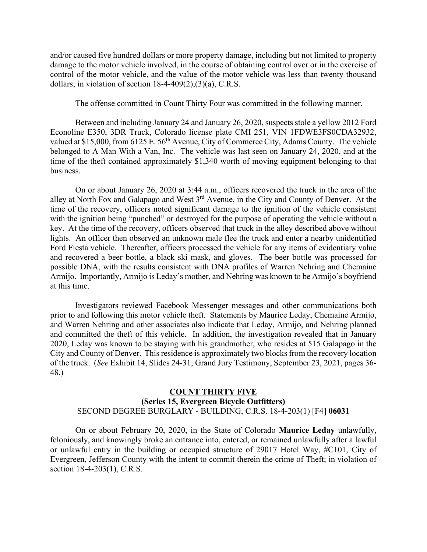and/or caused five hundred dollars or more property damage, including but not limited to property damage to the motor vehicle involved, in the course of obtaining control over or in the exercise of control of the motor vehicle, and the value of the motor vehicle was less than twenty thousand dollars; in violation of section  $18-4-409(2)$ ,  $(3)(a)$ , C.R.S.

The offense committed in Count Thirty Four was committed in the following manner.

Between and including January 24 and January 26, 2020, suspects stole a yellow 2012 Ford Econoline E350, 3DR Truck, Colorado license plate CMI 251, VIN 1FDWE3FS0CDA32932, valued at \$15,000, from 6125 E. 56<sup>th</sup> Avenue, City of Commerce City, Adams County. The vehicle belonged to A Man With a Van, Inc. The vehicle was last seen on January 24, 2020, and at the time of the theft contained approximately \$1,340 worth of moving equipment belonging to that business.

On or about January 26, 2020 at 3:44 a.m., officers recovered the truck in the area of the alley at North Fox and Galapago and West 3rd Avenue, in the City and County of Denver. At the time of the recovery, officers noted significant damage to the ignition of the vehicle consistent with the ignition being "punched" or destroyed for the purpose of operating the vehicle without a key. At the time of the recovery, officers observed that truck in the alley described above without lights. An officer then observed an unknown male flee the truck and enter a nearby unidentified Ford Fiesta vehicle. Thereafter, officers processed the vehicle for any items of evidentiary value and recovered a beer bottle, a black ski mask, and gloves. The beer bottle was processed for possible DNA, with the results consistent with DNA profiles of Warren Nehring and Chemaine Armijo. Importantly, Armijo is Leday's mother, and Nehring was known to be Armijo's boyfriend at this time.

Investigators reviewed Facebook Messenger messages and other communications both prior to and following this motor vehicle theft. Statements by Maurice Leday, Chemaine Armijo, and Warren Nehring and other associates also indicate that Leday, Armijo, and Nehring planned and committed the theft of this vehicle. In addition, the investigation revealed that in January 2020, Leday was known to be staying with his grandmother, who resides at 515 Galapago in the City and County of Denver. This residence is approximately two blocks from the recovery location of the truck. (*See* Exhibit 14, Slides 24-31; Grand Jury Testimony, September 23, 2021, pages 36- 48.)

# **COUNT THIRTY FIVE (Series 15, Evergreen Bicycle Outfitters)** SECOND DEGREE BURGLARY - BUILDING, C.R.S. 18-4-203(1) [F4] **06031**

On or about February 20, 2020, in the State of Colorado **Maurice Leday** unlawfully, feloniously, and knowingly broke an entrance into, entered, or remained unlawfully after a lawful or unlawful entry in the building or occupied structure of 29017 Hotel Way, #C101, City of Evergreen, Jefferson County with the intent to commit therein the crime of Theft; in violation of section 18-4-203(1), C.R.S.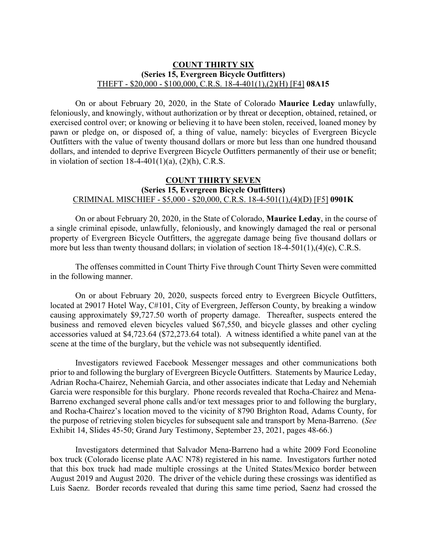# **COUNT THIRTY SIX (Series 15, Evergreen Bicycle Outfitters)** THEFT - \$20,000 - \$100,000, C.R.S. 18-4-401(1),(2)(H) [F4] **08A15**

On or about February 20, 2020, in the State of Colorado **Maurice Leday** unlawfully, feloniously, and knowingly, without authorization or by threat or deception, obtained, retained, or exercised control over; or knowing or believing it to have been stolen, received, loaned money by pawn or pledge on, or disposed of, a thing of value, namely: bicycles of Evergreen Bicycle Outfitters with the value of twenty thousand dollars or more but less than one hundred thousand dollars, and intended to deprive Evergreen Bicycle Outfitters permanently of their use or benefit; in violation of section  $18-4-401(1)(a)$ ,  $(2)(h)$ , C.R.S.

# **COUNT THIRTY SEVEN (Series 15, Evergreen Bicycle Outfitters)** CRIMINAL MISCHIEF - \$5,000 - \$20,000, C.R.S. 18-4-501(1),(4)(D) [F5] **0901K**

On or about February 20, 2020, in the State of Colorado, **Maurice Leday**, in the course of a single criminal episode, unlawfully, feloniously, and knowingly damaged the real or personal property of Evergreen Bicycle Outfitters, the aggregate damage being five thousand dollars or more but less than twenty thousand dollars; in violation of section 18-4-501(1),(4)(e), C.R.S.

The offenses committed in Count Thirty Five through Count Thirty Seven were committed in the following manner.

On or about February 20, 2020, suspects forced entry to Evergreen Bicycle Outfitters, located at 29017 Hotel Way, C#101, City of Evergreen, Jefferson County, by breaking a window causing approximately \$9,727.50 worth of property damage. Thereafter, suspects entered the business and removed eleven bicycles valued \$67,550, and bicycle glasses and other cycling accessories valued at \$4,723.64 (\$72,273.64 total). A witness identified a white panel van at the scene at the time of the burglary, but the vehicle was not subsequently identified.

Investigators reviewed Facebook Messenger messages and other communications both prior to and following the burglary of Evergreen Bicycle Outfitters. Statements by Maurice Leday, Adrian Rocha-Chairez, Nehemiah Garcia, and other associates indicate that Leday and Nehemiah Garcia were responsible for this burglary. Phone records revealed that Rocha-Chairez and Mena-Barreno exchanged several phone calls and/or text messages prior to and following the burglary, and Rocha-Chairez's location moved to the vicinity of 8790 Brighton Road, Adams County, for the purpose of retrieving stolen bicycles for subsequent sale and transport by Mena-Barreno. (*See* Exhibit 14, Slides 45-50; Grand Jury Testimony, September 23, 2021, pages 48-66.)

Investigators determined that Salvador Mena-Barreno had a white 2009 Ford Econoline box truck (Colorado license plate AAC N78) registered in his name. Investigators further noted that this box truck had made multiple crossings at the United States/Mexico border between August 2019 and August 2020. The driver of the vehicle during these crossings was identified as Luis Saenz. Border records revealed that during this same time period, Saenz had crossed the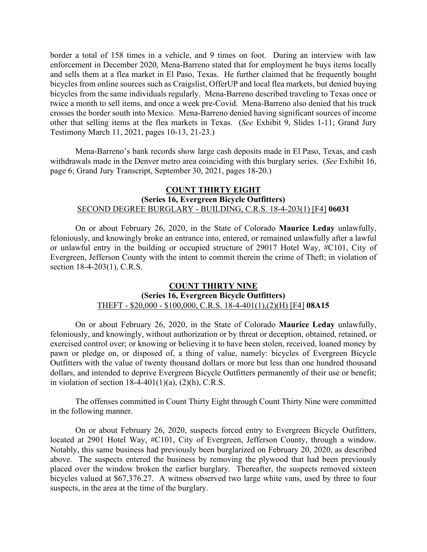border a total of 158 times in a vehicle, and 9 times on foot. During an interview with law enforcement in December 2020, Mena-Barreno stated that for employment he buys items locally and sells them at a flea market in El Paso, Texas. He further claimed that he frequently bought bicycles from online sources such as Craigslist, OfferUP and local flea markets, but denied buying bicycles from the same individuals regularly. Mena-Barreno described traveling to Texas once or twice a month to sell items, and once a week pre-Covid. Mena-Barreno also denied that his truck crosses the border south into Mexico. Mena-Barreno denied having significant sources of income other that selling items at the flea markets in Texas. (*See* Exhibit 9, Slides 1-11; Grand Jury Testimony March 11, 2021, pages 10-13, 21-23.)

Mena-Barreno's bank records show large cash deposits made in El Paso, Texas, and cash withdrawals made in the Denver metro area coinciding with this burglary series. (*See* Exhibit 16, page 6; Grand Jury Transcript, September 30, 2021, pages 18-20.)

## **COUNT THIRTY EIGHT (Series 16, Evergreen Bicycle Outfitters)** SECOND DEGREE BURGLARY - BUILDING, C.R.S. 18-4-203(1) [F4] **06031**

On or about February 26, 2020, in the State of Colorado **Maurice Leday** unlawfully, feloniously, and knowingly broke an entrance into, entered, or remained unlawfully after a lawful or unlawful entry in the building or occupied structure of 29017 Hotel Way, #C101, City of Evergreen, Jefferson County with the intent to commit therein the crime of Theft; in violation of section 18-4-203(1), C.R.S.

## **COUNT THIRTY NINE (Series 16, Evergreen Bicycle Outfitters)** THEFT - \$20,000 - \$100,000, C.R.S. 18-4-401(1),(2)(H) [F4] **08A15**

On or about February 26, 2020, in the State of Colorado **Maurice Leday** unlawfully, feloniously, and knowingly, without authorization or by threat or deception, obtained, retained, or exercised control over; or knowing or believing it to have been stolen, received, loaned money by pawn or pledge on, or disposed of, a thing of value, namely: bicycles of Evergreen Bicycle Outfitters with the value of twenty thousand dollars or more but less than one hundred thousand dollars, and intended to deprive Evergreen Bicycle Outfitters permanently of their use or benefit; in violation of section  $18-4-401(1)(a)$ ,  $(2)(h)$ , C.R.S.

The offenses committed in Count Thirty Eight through Count Thirty Nine were committed in the following manner.

On or about February 26, 2020, suspects forced entry to Evergreen Bicycle Outfitters, located at 2901 Hotel Way, #C101, City of Evergreen, Jefferson County, through a window. Notably, this same business had previously been burglarized on February 20, 2020, as described above. The suspects entered the business by removing the plywood that had been previously placed over the window broken the earlier burglary. Thereafter, the suspects removed sixteen bicycles valued at \$67,376.27. A witness observed two large white vans, used by three to four suspects, in the area at the time of the burglary.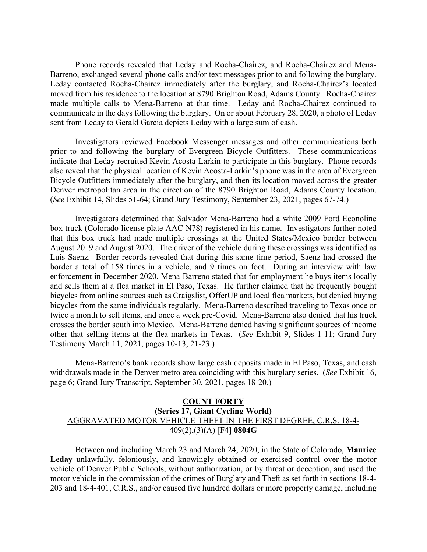Phone records revealed that Leday and Rocha-Chairez, and Rocha-Chairez and Mena-Barreno, exchanged several phone calls and/or text messages prior to and following the burglary. Leday contacted Rocha-Chairez immediately after the burglary, and Rocha-Chairez's located moved from his residence to the location at 8790 Brighton Road, Adams County. Rocha-Chairez made multiple calls to Mena-Barreno at that time. Leday and Rocha-Chairez continued to communicate in the days following the burglary. On or about February 28, 2020, a photo of Leday sent from Leday to Gerald Garcia depicts Leday with a large sum of cash.

Investigators reviewed Facebook Messenger messages and other communications both prior to and following the burglary of Evergreen Bicycle Outfitters. These communications indicate that Leday recruited Kevin Acosta-Larkin to participate in this burglary. Phone records also reveal that the physical location of Kevin Acosta-Larkin's phone was in the area of Evergreen Bicycle Outfitters immediately after the burglary, and then its location moved across the greater Denver metropolitan area in the direction of the 8790 Brighton Road, Adams County location. (*See* Exhibit 14, Slides 51-64; Grand Jury Testimony, September 23, 2021, pages 67-74.)

Investigators determined that Salvador Mena-Barreno had a white 2009 Ford Econoline box truck (Colorado license plate AAC N78) registered in his name. Investigators further noted that this box truck had made multiple crossings at the United States/Mexico border between August 2019 and August 2020. The driver of the vehicle during these crossings was identified as Luis Saenz. Border records revealed that during this same time period, Saenz had crossed the border a total of 158 times in a vehicle, and 9 times on foot. During an interview with law enforcement in December 2020, Mena-Barreno stated that for employment he buys items locally and sells them at a flea market in El Paso, Texas. He further claimed that he frequently bought bicycles from online sources such as Craigslist, OfferUP and local flea markets, but denied buying bicycles from the same individuals regularly. Mena-Barreno described traveling to Texas once or twice a month to sell items, and once a week pre-Covid. Mena-Barreno also denied that his truck crosses the border south into Mexico. Mena-Barreno denied having significant sources of income other that selling items at the flea markets in Texas. (*See* Exhibit 9, Slides 1-11; Grand Jury Testimony March 11, 2021, pages 10-13, 21-23.)

Mena-Barreno's bank records show large cash deposits made in El Paso, Texas, and cash withdrawals made in the Denver metro area coinciding with this burglary series. (*See* Exhibit 16, page 6; Grand Jury Transcript, September 30, 2021, pages 18-20.)

## **COUNT FORTY (Series 17, Giant Cycling World)** AGGRAVATED MOTOR VEHICLE THEFT IN THE FIRST DEGREE, C.R.S. 18-4- 409(2),(3)(A) [F4] **0804G**

Between and including March 23 and March 24, 2020, in the State of Colorado, **Maurice Leday** unlawfully, feloniously, and knowingly obtained or exercised control over the motor vehicle of Denver Public Schools, without authorization, or by threat or deception, and used the motor vehicle in the commission of the crimes of Burglary and Theft as set forth in sections 18-4- 203 and 18-4-401, C.R.S., and/or caused five hundred dollars or more property damage, including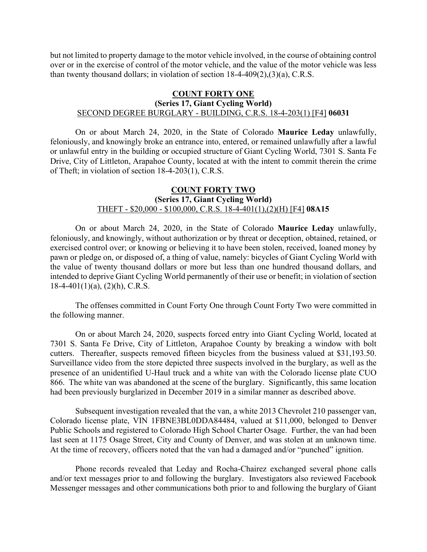but not limited to property damage to the motor vehicle involved, in the course of obtaining control over or in the exercise of control of the motor vehicle, and the value of the motor vehicle was less than twenty thousand dollars; in violation of section 18-4-409(2),(3)(a), C.R.S.

## **COUNT FORTY ONE (Series 17, Giant Cycling World)** SECOND DEGREE BURGLARY - BUILDING, C.R.S. 18-4-203(1) [F4] **06031**

On or about March 24, 2020, in the State of Colorado **Maurice Leday** unlawfully, feloniously, and knowingly broke an entrance into, entered, or remained unlawfully after a lawful or unlawful entry in the building or occupied structure of Giant Cycling World, 7301 S. Santa Fe Drive, City of Littleton, Arapahoe County, located at with the intent to commit therein the crime of Theft; in violation of section 18-4-203(1), C.R.S.

## **COUNT FORTY TWO (Series 17, Giant Cycling World)** THEFT - \$20,000 - \$100,000, C.R.S. 18-4-401(1),(2)(H) [F4] **08A15**

On or about March 24, 2020, in the State of Colorado **Maurice Leday** unlawfully, feloniously, and knowingly, without authorization or by threat or deception, obtained, retained, or exercised control over; or knowing or believing it to have been stolen, received, loaned money by pawn or pledge on, or disposed of, a thing of value, namely: bicycles of Giant Cycling World with the value of twenty thousand dollars or more but less than one hundred thousand dollars, and intended to deprive Giant Cycling World permanently of their use or benefit; in violation of section  $18-4-401(1)(a)$ ,  $(2)(h)$ , C.R.S.

The offenses committed in Count Forty One through Count Forty Two were committed in the following manner.

On or about March 24, 2020, suspects forced entry into Giant Cycling World, located at 7301 S. Santa Fe Drive, City of Littleton, Arapahoe County by breaking a window with bolt cutters. Thereafter, suspects removed fifteen bicycles from the business valued at \$31,193.50. Surveillance video from the store depicted three suspects involved in the burglary, as well as the presence of an unidentified U-Haul truck and a white van with the Colorado license plate CUO 866. The white van was abandoned at the scene of the burglary. Significantly, this same location had been previously burglarized in December 2019 in a similar manner as described above.

Subsequent investigation revealed that the van, a white 2013 Chevrolet 210 passenger van, Colorado license plate, VIN 1FBNE3BL0DDA84484, valued at \$11,000, belonged to Denver Public Schools and registered to Colorado High School Charter Osage. Further, the van had been last seen at 1175 Osage Street, City and County of Denver, and was stolen at an unknown time. At the time of recovery, officers noted that the van had a damaged and/or "punched" ignition.

Phone records revealed that Leday and Rocha-Chairez exchanged several phone calls and/or text messages prior to and following the burglary. Investigators also reviewed Facebook Messenger messages and other communications both prior to and following the burglary of Giant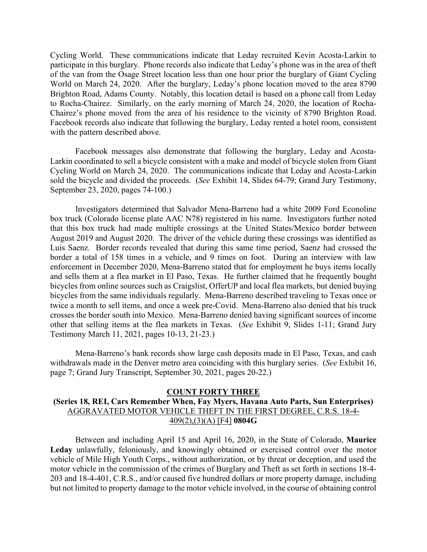Cycling World. These communications indicate that Leday recruited Kevin Acosta-Larkin to participate in this burglary. Phone records also indicate that Leday's phone was in the area of theft of the van from the Osage Street location less than one hour prior the burglary of Giant Cycling World on March 24, 2020. After the burglary, Leday's phone location moved to the area 8790 Brighton Road, Adams County. Notably, this location detail is based on a phone call from Leday to Rocha-Chairez. Similarly, on the early morning of March 24, 2020, the location of Rocha-Chairez's phone moved from the area of his residence to the vicinity of 8790 Brighton Road. Facebook records also indicate that following the burglary, Leday rented a hotel room, consistent with the pattern described above.

Facebook messages also demonstrate that following the burglary, Leday and Acosta-Larkin coordinated to sell a bicycle consistent with a make and model of bicycle stolen from Giant Cycling World on March 24, 2020. The communications indicate that Leday and Acosta-Larkin sold the bicycle and divided the proceeds. (*See* Exhibit 14, Slides 64-79; Grand Jury Testimony, September 23, 2020, pages 74-100.)

Investigators determined that Salvador Mena-Barreno had a white 2009 Ford Econoline box truck (Colorado license plate AAC N78) registered in his name. Investigators further noted that this box truck had made multiple crossings at the United States/Mexico border between August 2019 and August 2020. The driver of the vehicle during these crossings was identified as Luis Saenz. Border records revealed that during this same time period, Saenz had crossed the border a total of 158 times in a vehicle, and 9 times on foot. During an interview with law enforcement in December 2020, Mena-Barreno stated that for employment he buys items locally and sells them at a flea market in El Paso, Texas. He further claimed that he frequently bought bicycles from online sources such as Craigslist, OfferUP and local flea markets, but denied buying bicycles from the same individuals regularly. Mena-Barreno described traveling to Texas once or twice a month to sell items, and once a week pre-Covid. Mena-Barreno also denied that his truck crosses the border south into Mexico. Mena-Barreno denied having significant sources of income other that selling items at the flea markets in Texas. (*See* Exhibit 9, Slides 1-11; Grand Jury Testimony March 11, 2021, pages 10-13, 21-23.)

Mena-Barreno's bank records show large cash deposits made in El Paso, Texas, and cash withdrawals made in the Denver metro area coinciding with this burglary series. (*See* Exhibit 16, page 7; Grand Jury Transcript, September 30, 2021, pages 20-22.)

#### **COUNT FORTY THREE**

# **(Series 18, REI, Cars Remember When, Fay Myers, Havana Auto Parts, Sun Enterprises)** AGGRAVATED MOTOR VEHICLE THEFT IN THE FIRST DEGREE, C.R.S. 18-4- 409(2),(3)(A) [F4] **0804G**

Between and including April 15 and April 16, 2020, in the State of Colorado, **Maurice Leday** unlawfully, feloniously, and knowingly obtained or exercised control over the motor vehicle of Mile High Youth Corps., without authorization, or by threat or deception, and used the motor vehicle in the commission of the crimes of Burglary and Theft as set forth in sections 18-4- 203 and 18-4-401, C.R.S., and/or caused five hundred dollars or more property damage, including but not limited to property damage to the motor vehicle involved, in the course of obtaining control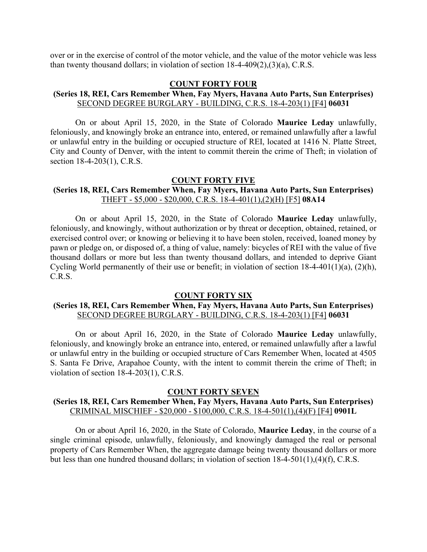over or in the exercise of control of the motor vehicle, and the value of the motor vehicle was less than twenty thousand dollars; in violation of section 18-4-409(2),(3)(a), C.R.S.

#### **COUNT FORTY FOUR**

## **(Series 18, REI, Cars Remember When, Fay Myers, Havana Auto Parts, Sun Enterprises)** SECOND DEGREE BURGLARY - BUILDING, C.R.S. 18-4-203(1) [F4] **06031**

On or about April 15, 2020, in the State of Colorado **Maurice Leday** unlawfully, feloniously, and knowingly broke an entrance into, entered, or remained unlawfully after a lawful or unlawful entry in the building or occupied structure of REI, located at 1416 N. Platte Street, City and County of Denver, with the intent to commit therein the crime of Theft; in violation of section 18-4-203(1), C.R.S.

#### **COUNT FORTY FIVE**

# **(Series 18, REI, Cars Remember When, Fay Myers, Havana Auto Parts, Sun Enterprises)** THEFT - \$5,000 - \$20,000, C.R.S. 18-4-401(1),(2)(H) [F5] **08A14**

On or about April 15, 2020, in the State of Colorado **Maurice Leday** unlawfully, feloniously, and knowingly, without authorization or by threat or deception, obtained, retained, or exercised control over; or knowing or believing it to have been stolen, received, loaned money by pawn or pledge on, or disposed of, a thing of value, namely: bicycles of REI with the value of five thousand dollars or more but less than twenty thousand dollars, and intended to deprive Giant Cycling World permanently of their use or benefit; in violation of section 18-4-401(1)(a), (2)(h), C.R.S.

#### **COUNT FORTY SIX**

# **(Series 18, REI, Cars Remember When, Fay Myers, Havana Auto Parts, Sun Enterprises)** SECOND DEGREE BURGLARY - BUILDING, C.R.S. 18-4-203(1) [F4] **06031**

On or about April 16, 2020, in the State of Colorado **Maurice Leday** unlawfully, feloniously, and knowingly broke an entrance into, entered, or remained unlawfully after a lawful or unlawful entry in the building or occupied structure of Cars Remember When, located at 4505 S. Santa Fe Drive, Arapahoe County, with the intent to commit therein the crime of Theft; in violation of section 18-4-203(1), C.R.S.

#### **COUNT FORTY SEVEN**

# **(Series 18, REI, Cars Remember When, Fay Myers, Havana Auto Parts, Sun Enterprises)** CRIMINAL MISCHIEF - \$20,000 - \$100,000, C.R.S. 18-4-501(1),(4)(F) [F4] **0901L**

On or about April 16, 2020, in the State of Colorado, **Maurice Leday**, in the course of a single criminal episode, unlawfully, feloniously, and knowingly damaged the real or personal property of Cars Remember When, the aggregate damage being twenty thousand dollars or more but less than one hundred thousand dollars; in violation of section 18-4-501(1),(4)(f), C.R.S.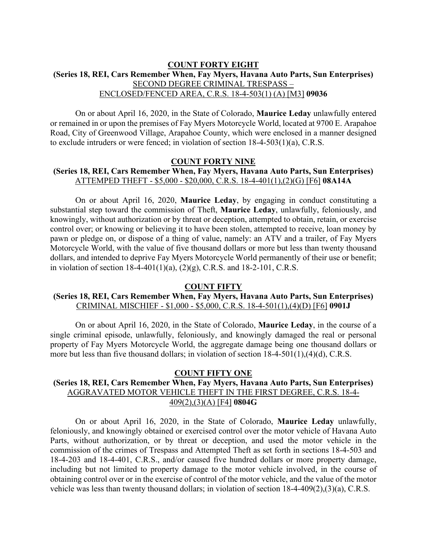## **COUNT FORTY EIGHT (Series 18, REI, Cars Remember When, Fay Myers, Havana Auto Parts, Sun Enterprises)** SECOND DEGREE CRIMINAL TRESPASS – ENCLOSED/FENCED AREA, C.R.S. 18-4-503(1) (A) [M3] **09036**

On or about April 16, 2020, in the State of Colorado, **Maurice Leday** unlawfully entered or remained in or upon the premises of Fay Myers Motorcycle World, located at 9700 E. Arapahoe Road, City of Greenwood Village, Arapahoe County, which were enclosed in a manner designed to exclude intruders or were fenced; in violation of section 18-4-503(1)(a), C.R.S.

#### **COUNT FORTY NINE**

# **(Series 18, REI, Cars Remember When, Fay Myers, Havana Auto Parts, Sun Enterprises)** ATTEMPED THEFT - \$5,000 - \$20,000, C.R.S. 18-4-401(1),(2)(G) [F6] **08A14A**

On or about April 16, 2020, **Maurice Leday**, by engaging in conduct constituting a substantial step toward the commission of Theft, **Maurice Leday**, unlawfully, feloniously, and knowingly, without authorization or by threat or deception, attempted to obtain, retain, or exercise control over; or knowing or believing it to have been stolen, attempted to receive, loan money by pawn or pledge on, or dispose of a thing of value, namely: an ATV and a trailer, of Fay Myers Motorcycle World, with the value of five thousand dollars or more but less than twenty thousand dollars, and intended to deprive Fay Myers Motorcycle World permanently of their use or benefit; in violation of section 18-4-401(1)(a), (2)(g), C.R.S. and 18-2-101, C.R.S.

#### **COUNT FIFTY**

#### **(Series 18, REI, Cars Remember When, Fay Myers, Havana Auto Parts, Sun Enterprises)** CRIMINAL MISCHIEF - \$1,000 - \$5,000, C.R.S. 18-4-501(1),(4)(D) [F6] **0901J**

On or about April 16, 2020, in the State of Colorado, **Maurice Leday**, in the course of a single criminal episode, unlawfully, feloniously, and knowingly damaged the real or personal property of Fay Myers Motorcycle World, the aggregate damage being one thousand dollars or more but less than five thousand dollars; in violation of section 18-4-501(1),(4)(d), C.R.S.

#### **COUNT FIFTY ONE**

# **(Series 18, REI, Cars Remember When, Fay Myers, Havana Auto Parts, Sun Enterprises)** AGGRAVATED MOTOR VEHICLE THEFT IN THE FIRST DEGREE, C.R.S. 18-4- 409(2),(3)(A) [F4] **0804G**

On or about April 16, 2020, in the State of Colorado, **Maurice Leday** unlawfully, feloniously, and knowingly obtained or exercised control over the motor vehicle of Havana Auto Parts, without authorization, or by threat or deception, and used the motor vehicle in the commission of the crimes of Trespass and Attempted Theft as set forth in sections 18-4-503 and 18-4-203 and 18-4-401, C.R.S., and/or caused five hundred dollars or more property damage, including but not limited to property damage to the motor vehicle involved, in the course of obtaining control over or in the exercise of control of the motor vehicle, and the value of the motor vehicle was less than twenty thousand dollars; in violation of section 18-4-409(2),(3)(a), C.R.S.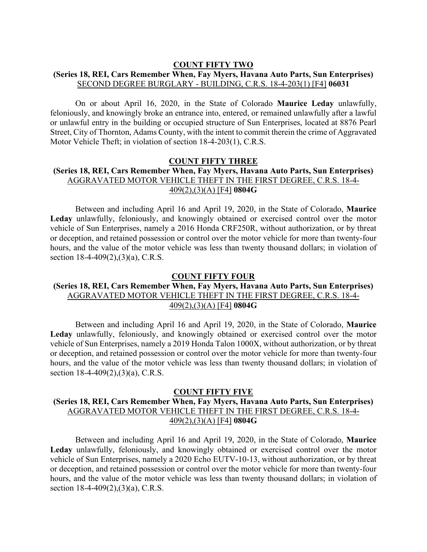#### **COUNT FIFTY TWO**

## **(Series 18, REI, Cars Remember When, Fay Myers, Havana Auto Parts, Sun Enterprises)** SECOND DEGREE BURGLARY - BUILDING, C.R.S. 18-4-203(1) [F4] **06031**

On or about April 16, 2020, in the State of Colorado **Maurice Leday** unlawfully, feloniously, and knowingly broke an entrance into, entered, or remained unlawfully after a lawful or unlawful entry in the building or occupied structure of Sun Enterprises, located at 8876 Pearl Street, City of Thornton, Adams County, with the intent to commit therein the crime of Aggravated Motor Vehicle Theft; in violation of section 18-4-203(1), C.R.S.

#### **COUNT FIFTY THREE**

## **(Series 18, REI, Cars Remember When, Fay Myers, Havana Auto Parts, Sun Enterprises)** AGGRAVATED MOTOR VEHICLE THEFT IN THE FIRST DEGREE, C.R.S. 18-4- 409(2),(3)(A) [F4] **0804G**

Between and including April 16 and April 19, 2020, in the State of Colorado, **Maurice Leday** unlawfully, feloniously, and knowingly obtained or exercised control over the motor vehicle of Sun Enterprises, namely a 2016 Honda CRF250R, without authorization, or by threat or deception, and retained possession or control over the motor vehicle for more than twenty-four hours, and the value of the motor vehicle was less than twenty thousand dollars; in violation of section 18-4-409(2),(3)(a), C.R.S.

#### **COUNT FIFTY FOUR**

#### **(Series 18, REI, Cars Remember When, Fay Myers, Havana Auto Parts, Sun Enterprises)** AGGRAVATED MOTOR VEHICLE THEFT IN THE FIRST DEGREE, C.R.S. 18-4- 409(2),(3)(A) [F4] **0804G**

Between and including April 16 and April 19, 2020, in the State of Colorado, **Maurice Leday** unlawfully, feloniously, and knowingly obtained or exercised control over the motor vehicle of Sun Enterprises, namely a 2019 Honda Talon 1000X, without authorization, or by threat or deception, and retained possession or control over the motor vehicle for more than twenty-four hours, and the value of the motor vehicle was less than twenty thousand dollars; in violation of section 18-4-409(2),(3)(a), C.R.S.

#### **COUNT FIFTY FIVE**

# **(Series 18, REI, Cars Remember When, Fay Myers, Havana Auto Parts, Sun Enterprises)** AGGRAVATED MOTOR VEHICLE THEFT IN THE FIRST DEGREE, C.R.S. 18-4- 409(2),(3)(A) [F4] **0804G**

Between and including April 16 and April 19, 2020, in the State of Colorado, **Maurice Leday** unlawfully, feloniously, and knowingly obtained or exercised control over the motor vehicle of Sun Enterprises, namely a 2020 Echo EUTV-10-13, without authorization, or by threat or deception, and retained possession or control over the motor vehicle for more than twenty-four hours, and the value of the motor vehicle was less than twenty thousand dollars; in violation of section 18-4-409(2),(3)(a), C.R.S.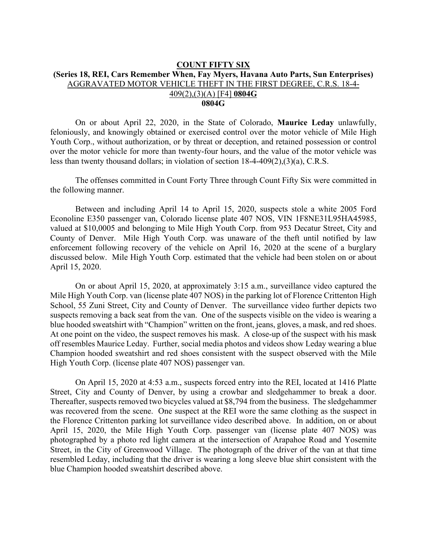#### **COUNT FIFTY SIX (Series 18, REI, Cars Remember When, Fay Myers, Havana Auto Parts, Sun Enterprises)** AGGRAVATED MOTOR VEHICLE THEFT IN THE FIRST DEGREE, C.R.S. 18-4- 409(2),(3)(A) [F4] **0804G 0804G**

On or about April 22, 2020, in the State of Colorado, **Maurice Leday** unlawfully, feloniously, and knowingly obtained or exercised control over the motor vehicle of Mile High Youth Corp., without authorization, or by threat or deception, and retained possession or control over the motor vehicle for more than twenty-four hours, and the value of the motor vehicle was less than twenty thousand dollars; in violation of section 18-4-409(2),(3)(a), C.R.S.

The offenses committed in Count Forty Three through Count Fifty Six were committed in the following manner.

Between and including April 14 to April 15, 2020, suspects stole a white 2005 Ford Econoline E350 passenger van, Colorado license plate 407 NOS, VIN 1F8NE31L95HA45985, valued at \$10,0005 and belonging to Mile High Youth Corp. from 953 Decatur Street, City and County of Denver. Mile High Youth Corp. was unaware of the theft until notified by law enforcement following recovery of the vehicle on April 16, 2020 at the scene of a burglary discussed below. Mile High Youth Corp. estimated that the vehicle had been stolen on or about April 15, 2020.

On or about April 15, 2020, at approximately 3:15 a.m., surveillance video captured the Mile High Youth Corp. van (license plate 407 NOS) in the parking lot of Florence Crittenton High School, 55 Zuni Street, City and County of Denver. The surveillance video further depicts two suspects removing a back seat from the van. One of the suspects visible on the video is wearing a blue hooded sweatshirt with "Champion" written on the front, jeans, gloves, a mask, and red shoes. At one point on the video, the suspect removes his mask. A close-up of the suspect with his mask off resembles Maurice Leday. Further, social media photos and videos show Leday wearing a blue Champion hooded sweatshirt and red shoes consistent with the suspect observed with the Mile High Youth Corp. (license plate 407 NOS) passenger van.

On April 15, 2020 at 4:53 a.m., suspects forced entry into the REI, located at 1416 Platte Street, City and County of Denver, by using a crowbar and sledgehammer to break a door. Thereafter, suspects removed two bicycles valued at \$8,794 from the business. The sledgehammer was recovered from the scene. One suspect at the REI wore the same clothing as the suspect in the Florence Crittenton parking lot surveillance video described above. In addition, on or about April 15, 2020, the Mile High Youth Corp. passenger van (license plate 407 NOS) was photographed by a photo red light camera at the intersection of Arapahoe Road and Yosemite Street, in the City of Greenwood Village. The photograph of the driver of the van at that time resembled Leday, including that the driver is wearing a long sleeve blue shirt consistent with the blue Champion hooded sweatshirt described above.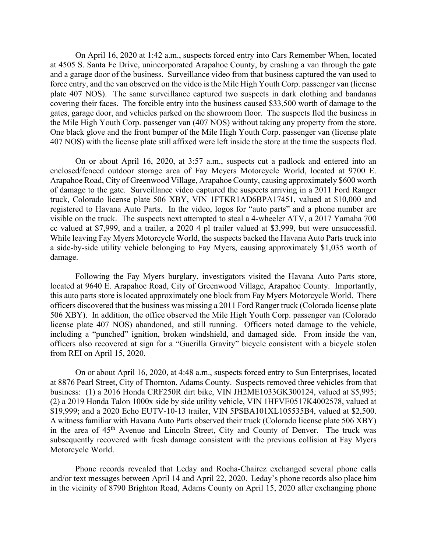On April 16, 2020 at 1:42 a.m., suspects forced entry into Cars Remember When, located at 4505 S. Santa Fe Drive, unincorporated Arapahoe County, by crashing a van through the gate and a garage door of the business. Surveillance video from that business captured the van used to force entry, and the van observed on the video is the Mile High Youth Corp. passenger van (license plate 407 NOS). The same surveillance captured two suspects in dark clothing and bandanas covering their faces. The forcible entry into the business caused \$33,500 worth of damage to the gates, garage door, and vehicles parked on the showroom floor. The suspects fled the business in the Mile High Youth Corp. passenger van (407 NOS) without taking any property from the store. One black glove and the front bumper of the Mile High Youth Corp. passenger van (license plate 407 NOS) with the license plate still affixed were left inside the store at the time the suspects fled.

On or about April 16, 2020, at 3:57 a.m., suspects cut a padlock and entered into an enclosed/fenced outdoor storage area of Fay Meyers Motorcycle World, located at 9700 E. Arapahoe Road, City of Greenwood Village, Arapahoe County, causing approximately \$600 worth of damage to the gate. Surveillance video captured the suspects arriving in a 2011 Ford Ranger truck, Colorado license plate 506 XBY, VIN 1FTKR1AD6BPA17451, valued at \$10,000 and registered to Havana Auto Parts. In the video, logos for "auto parts" and a phone number are visible on the truck. The suspects next attempted to steal a 4-wheeler ATV, a 2017 Yamaha 700 cc valued at \$7,999, and a trailer, a 2020 4 pl trailer valued at \$3,999, but were unsuccessful. While leaving Fay Myers Motorcycle World, the suspects backed the Havana Auto Parts truck into a side-by-side utility vehicle belonging to Fay Myers, causing approximately \$1,035 worth of damage.

Following the Fay Myers burglary, investigators visited the Havana Auto Parts store, located at 9640 E. Arapahoe Road, City of Greenwood Village, Arapahoe County. Importantly, this auto parts store is located approximately one block from Fay Myers Motorcycle World. There officers discovered that the business was missing a 2011 Ford Ranger truck (Colorado license plate 506 XBY). In addition, the office observed the Mile High Youth Corp. passenger van (Colorado license plate 407 NOS) abandoned, and still running. Officers noted damage to the vehicle, including a "punched" ignition, broken windshield, and damaged side. From inside the van, officers also recovered at sign for a "Guerilla Gravity" bicycle consistent with a bicycle stolen from REI on April 15, 2020.

On or about April 16, 2020, at 4:48 a.m., suspects forced entry to Sun Enterprises, located at 8876 Pearl Street, City of Thornton, Adams County. Suspects removed three vehicles from that business: (1) a 2016 Honda CRF250R dirt bike, VIN JH2ME1033GK300124, valued at \$5,995; (2) a 2019 Honda Talon 1000x side by side utility vehicle, VIN 1HFVE0517K4002578, valued at \$19,999; and a 2020 Echo EUTV-10-13 trailer, VIN 5PSBA101XL105535B4, valued at \$2,500. A witness familiar with Havana Auto Parts observed their truck (Colorado license plate 506 XBY) in the area of 45<sup>th</sup> Avenue and Lincoln Street, City and County of Denver. The truck was subsequently recovered with fresh damage consistent with the previous collision at Fay Myers Motorcycle World.

Phone records revealed that Leday and Rocha-Chairez exchanged several phone calls and/or text messages between April 14 and April 22, 2020. Leday's phone records also place him in the vicinity of 8790 Brighton Road, Adams County on April 15, 2020 after exchanging phone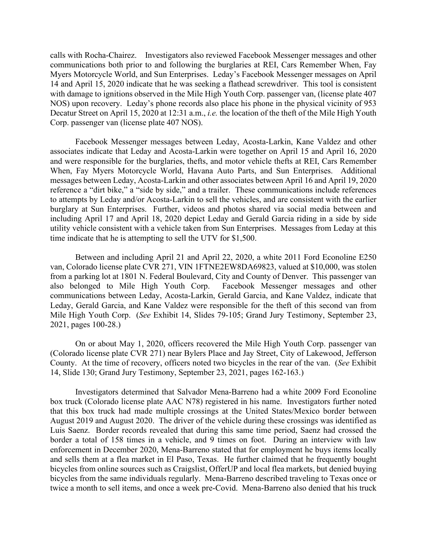calls with Rocha-Chairez. Investigators also reviewed Facebook Messenger messages and other communications both prior to and following the burglaries at REI, Cars Remember When, Fay Myers Motorcycle World, and Sun Enterprises. Leday's Facebook Messenger messages on April 14 and April 15, 2020 indicate that he was seeking a flathead screwdriver. This tool is consistent with damage to ignitions observed in the Mile High Youth Corp. passenger van, (license plate 407 NOS) upon recovery. Leday's phone records also place his phone in the physical vicinity of 953 Decatur Street on April 15, 2020 at 12:31 a.m., *i.e.* the location of the theft of the Mile High Youth Corp. passenger van (license plate 407 NOS).

Facebook Messenger messages between Leday, Acosta-Larkin, Kane Valdez and other associates indicate that Leday and Acosta-Larkin were together on April 15 and April 16, 2020 and were responsible for the burglaries, thefts, and motor vehicle thefts at REI, Cars Remember When, Fay Myers Motorcycle World, Havana Auto Parts, and Sun Enterprises. Additional messages between Leday, Acosta-Larkin and other associates between April 16 and April 19, 2020 reference a "dirt bike," a "side by side," and a trailer. These communications include references to attempts by Leday and/or Acosta-Larkin to sell the vehicles, and are consistent with the earlier burglary at Sun Enterprises. Further, videos and photos shared via social media between and including April 17 and April 18, 2020 depict Leday and Gerald Garcia riding in a side by side utility vehicle consistent with a vehicle taken from Sun Enterprises. Messages from Leday at this time indicate that he is attempting to sell the UTV for \$1,500.

Between and including April 21 and April 22, 2020, a white 2011 Ford Econoline E250 van, Colorado license plate CVR 271, VIN 1FTNE2EW8DA69823, valued at \$10,000, was stolen from a parking lot at 1801 N. Federal Boulevard, City and County of Denver. This passenger van also belonged to Mile High Youth Corp. Facebook Messenger messages and other communications between Leday, Acosta-Larkin, Gerald Garcia, and Kane Valdez, indicate that Leday, Gerald Garcia, and Kane Valdez were responsible for the theft of this second van from Mile High Youth Corp. (*See* Exhibit 14, Slides 79-105; Grand Jury Testimony, September 23, 2021, pages 100-28.)

On or about May 1, 2020, officers recovered the Mile High Youth Corp. passenger van (Colorado license plate CVR 271) near Bylers Place and Jay Street, City of Lakewood, Jefferson County. At the time of recovery, officers noted two bicycles in the rear of the van. (*See* Exhibit 14, Slide 130; Grand Jury Testimony, September 23, 2021, pages 162-163.)

Investigators determined that Salvador Mena-Barreno had a white 2009 Ford Econoline box truck (Colorado license plate AAC N78) registered in his name. Investigators further noted that this box truck had made multiple crossings at the United States/Mexico border between August 2019 and August 2020. The driver of the vehicle during these crossings was identified as Luis Saenz. Border records revealed that during this same time period, Saenz had crossed the border a total of 158 times in a vehicle, and 9 times on foot. During an interview with law enforcement in December 2020, Mena-Barreno stated that for employment he buys items locally and sells them at a flea market in El Paso, Texas. He further claimed that he frequently bought bicycles from online sources such as Craigslist, OfferUP and local flea markets, but denied buying bicycles from the same individuals regularly. Mena-Barreno described traveling to Texas once or twice a month to sell items, and once a week pre-Covid. Mena-Barreno also denied that his truck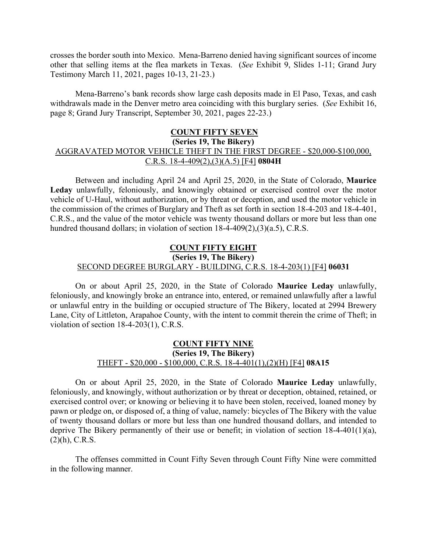crosses the border south into Mexico. Mena-Barreno denied having significant sources of income other that selling items at the flea markets in Texas. (*See* Exhibit 9, Slides 1-11; Grand Jury Testimony March 11, 2021, pages 10-13, 21-23.)

Mena-Barreno's bank records show large cash deposits made in El Paso, Texas, and cash withdrawals made in the Denver metro area coinciding with this burglary series. (*See* Exhibit 16, page 8; Grand Jury Transcript, September 30, 2021, pages 22-23.)

# **COUNT FIFTY SEVEN (Series 19, The Bikery)** AGGRAVATED MOTOR VEHICLE THEFT IN THE FIRST DEGREE - \$20,000-\$100,000, C.R.S. 18-4-409(2),(3)(A.5) [F4] **0804H**

Between and including April 24 and April 25, 2020, in the State of Colorado, **Maurice Leday** unlawfully, feloniously, and knowingly obtained or exercised control over the motor vehicle of U-Haul, without authorization, or by threat or deception, and used the motor vehicle in the commission of the crimes of Burglary and Theft as set forth in section 18-4-203 and 18-4-401, C.R.S., and the value of the motor vehicle was twenty thousand dollars or more but less than one hundred thousand dollars; in violation of section 18-4-409(2),(3)(a.5), C.R.S.

# **COUNT FIFTY EIGHT (Series 19, The Bikery)** SECOND DEGREE BURGLARY - BUILDING, C.R.S. 18-4-203(1) [F4] **06031**

On or about April 25, 2020, in the State of Colorado **Maurice Leday** unlawfully, feloniously, and knowingly broke an entrance into, entered, or remained unlawfully after a lawful or unlawful entry in the building or occupied structure of The Bikery, located at 2994 Brewery Lane, City of Littleton, Arapahoe County, with the intent to commit therein the crime of Theft; in violation of section 18-4-203(1), C.R.S.

# **COUNT FIFTY NINE (Series 19, The Bikery)** THEFT - \$20,000 - \$100,000, C.R.S. 18-4-401(1),(2)(H) [F4] **08A15**

On or about April 25, 2020, in the State of Colorado **Maurice Leday** unlawfully, feloniously, and knowingly, without authorization or by threat or deception, obtained, retained, or exercised control over; or knowing or believing it to have been stolen, received, loaned money by pawn or pledge on, or disposed of, a thing of value, namely: bicycles of The Bikery with the value of twenty thousand dollars or more but less than one hundred thousand dollars, and intended to deprive The Bikery permanently of their use or benefit; in violation of section 18-4-401(1)(a), (2)(h), C.R.S.

The offenses committed in Count Fifty Seven through Count Fifty Nine were committed in the following manner.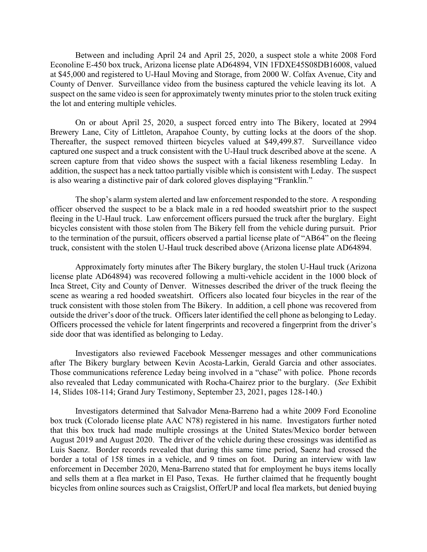Between and including April 24 and April 25, 2020, a suspect stole a white 2008 Ford Econoline E-450 box truck, Arizona license plate AD64894, VIN 1FDXE45S08DB16008, valued at \$45,000 and registered to U-Haul Moving and Storage, from 2000 W. Colfax Avenue, City and County of Denver. Surveillance video from the business captured the vehicle leaving its lot. A suspect on the same video is seen for approximately twenty minutes prior to the stolen truck exiting the lot and entering multiple vehicles.

On or about April 25, 2020, a suspect forced entry into The Bikery, located at 2994 Brewery Lane, City of Littleton, Arapahoe County, by cutting locks at the doors of the shop. Thereafter, the suspect removed thirteen bicycles valued at \$49,499.87. Surveillance video captured one suspect and a truck consistent with the U-Haul truck described above at the scene. A screen capture from that video shows the suspect with a facial likeness resembling Leday. In addition, the suspect has a neck tattoo partially visible which is consistent with Leday. The suspect is also wearing a distinctive pair of dark colored gloves displaying "Franklin."

The shop's alarm system alerted and law enforcement responded to the store. A responding officer observed the suspect to be a black male in a red hooded sweatshirt prior to the suspect fleeing in the U-Haul truck. Law enforcement officers pursued the truck after the burglary. Eight bicycles consistent with those stolen from The Bikery fell from the vehicle during pursuit. Prior to the termination of the pursuit, officers observed a partial license plate of "AB64" on the fleeing truck, consistent with the stolen U-Haul truck described above (Arizona license plate AD64894.

Approximately forty minutes after The Bikery burglary, the stolen U-Haul truck (Arizona license plate AD64894) was recovered following a multi-vehicle accident in the 1000 block of Inca Street, City and County of Denver. Witnesses described the driver of the truck fleeing the scene as wearing a red hooded sweatshirt. Officers also located four bicycles in the rear of the truck consistent with those stolen from The Bikery. In addition, a cell phone was recovered from outside the driver's door of the truck. Officers later identified the cell phone as belonging to Leday. Officers processed the vehicle for latent fingerprints and recovered a fingerprint from the driver's side door that was identified as belonging to Leday.

Investigators also reviewed Facebook Messenger messages and other communications after The Bikery burglary between Kevin Acosta-Larkin, Gerald Garcia and other associates. Those communications reference Leday being involved in a "chase" with police. Phone records also revealed that Leday communicated with Rocha-Chairez prior to the burglary. (*See* Exhibit 14, Slides 108-114; Grand Jury Testimony, September 23, 2021, pages 128-140.)

Investigators determined that Salvador Mena-Barreno had a white 2009 Ford Econoline box truck (Colorado license plate AAC N78) registered in his name. Investigators further noted that this box truck had made multiple crossings at the United States/Mexico border between August 2019 and August 2020. The driver of the vehicle during these crossings was identified as Luis Saenz. Border records revealed that during this same time period, Saenz had crossed the border a total of 158 times in a vehicle, and 9 times on foot. During an interview with law enforcement in December 2020, Mena-Barreno stated that for employment he buys items locally and sells them at a flea market in El Paso, Texas. He further claimed that he frequently bought bicycles from online sources such as Craigslist, OfferUP and local flea markets, but denied buying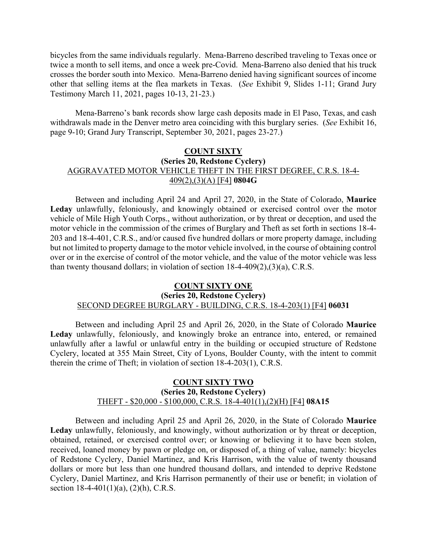bicycles from the same individuals regularly. Mena-Barreno described traveling to Texas once or twice a month to sell items, and once a week pre-Covid. Mena-Barreno also denied that his truck crosses the border south into Mexico. Mena-Barreno denied having significant sources of income other that selling items at the flea markets in Texas. (*See* Exhibit 9, Slides 1-11; Grand Jury Testimony March 11, 2021, pages 10-13, 21-23.)

Mena-Barreno's bank records show large cash deposits made in El Paso, Texas, and cash withdrawals made in the Denver metro area coinciding with this burglary series. (*See* Exhibit 16, page 9-10; Grand Jury Transcript, September 30, 2021, pages 23-27.)

# **COUNT SIXTY (Series 20, Redstone Cyclery)** AGGRAVATED MOTOR VEHICLE THEFT IN THE FIRST DEGREE, C.R.S. 18-4- 409(2),(3)(A) [F4] **0804G**

Between and including April 24 and April 27, 2020, in the State of Colorado, **Maurice Leday** unlawfully, feloniously, and knowingly obtained or exercised control over the motor vehicle of Mile High Youth Corps., without authorization, or by threat or deception, and used the motor vehicle in the commission of the crimes of Burglary and Theft as set forth in sections 18-4- 203 and 18-4-401, C.R.S., and/or caused five hundred dollars or more property damage, including but not limited to property damage to the motor vehicle involved, in the course of obtaining control over or in the exercise of control of the motor vehicle, and the value of the motor vehicle was less than twenty thousand dollars; in violation of section 18-4-409(2),(3)(a), C.R.S.

#### **COUNT SIXTY ONE**

# **(Series 20, Redstone Cyclery)**

# SECOND DEGREE BURGLARY - BUILDING, C.R.S. 18-4-203(1) [F4] **06031**

Between and including April 25 and April 26, 2020, in the State of Colorado **Maurice Leday** unlawfully, feloniously, and knowingly broke an entrance into, entered, or remained unlawfully after a lawful or unlawful entry in the building or occupied structure of Redstone Cyclery, located at 355 Main Street, City of Lyons, Boulder County, with the intent to commit therein the crime of Theft; in violation of section 18-4-203(1), C.R.S.

#### **COUNT SIXTY TWO (Series 20, Redstone Cyclery)** THEFT - \$20,000 - \$100,000, C.R.S. 18-4-401(1),(2)(H) [F4] **08A15**

Between and including April 25 and April 26, 2020, in the State of Colorado **Maurice Leday** unlawfully, feloniously, and knowingly, without authorization or by threat or deception, obtained, retained, or exercised control over; or knowing or believing it to have been stolen, received, loaned money by pawn or pledge on, or disposed of, a thing of value, namely: bicycles of Redstone Cyclery, Daniel Martinez, and Kris Harrison, with the value of twenty thousand dollars or more but less than one hundred thousand dollars, and intended to deprive Redstone Cyclery, Daniel Martinez, and Kris Harrison permanently of their use or benefit; in violation of section  $18-4-401(1)(a)$ ,  $(2)(h)$ , C.R.S.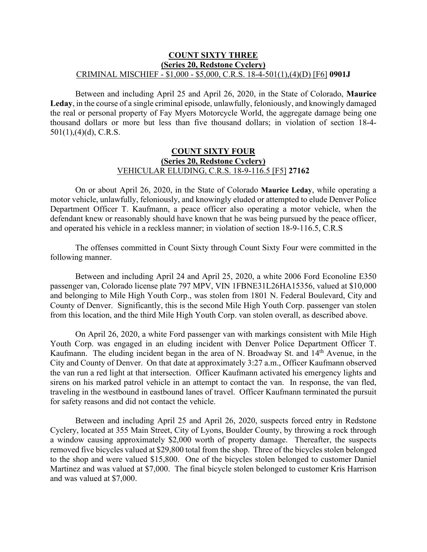#### **COUNT SIXTY THREE (Series 20, Redstone Cyclery)** CRIMINAL MISCHIEF - \$1,000 - \$5,000, C.R.S. 18-4-501(1),(4)(D) [F6] **0901J**

Between and including April 25 and April 26, 2020, in the State of Colorado, **Maurice Leday**, in the course of a single criminal episode, unlawfully, feloniously, and knowingly damaged the real or personal property of Fay Myers Motorcycle World, the aggregate damage being one thousand dollars or more but less than five thousand dollars; in violation of section 18-4-  $501(1)$ , (4)(d), C.R.S.

## **COUNT SIXTY FOUR (Series 20, Redstone Cyclery)** VEHICULAR ELUDING, C.R.S. 18-9-116.5 [F5] **27162**

On or about April 26, 2020, in the State of Colorado **Maurice Leday**, while operating a motor vehicle, unlawfully, feloniously, and knowingly eluded or attempted to elude Denver Police Department Officer T. Kaufmann, a peace officer also operating a motor vehicle, when the defendant knew or reasonably should have known that he was being pursued by the peace officer, and operated his vehicle in a reckless manner; in violation of section 18-9-116.5, C.R.S

The offenses committed in Count Sixty through Count Sixty Four were committed in the following manner.

Between and including April 24 and April 25, 2020, a white 2006 Ford Econoline E350 passenger van, Colorado license plate 797 MPV, VIN 1FBNE31L26HA15356, valued at \$10,000 and belonging to Mile High Youth Corp., was stolen from 1801 N. Federal Boulevard, City and County of Denver. Significantly, this is the second Mile High Youth Corp. passenger van stolen from this location, and the third Mile High Youth Corp. van stolen overall, as described above.

On April 26, 2020, a white Ford passenger van with markings consistent with Mile High Youth Corp. was engaged in an eluding incident with Denver Police Department Officer T. Kaufmann. The eluding incident began in the area of N. Broadway St. and 14<sup>th</sup> Avenue, in the City and County of Denver. On that date at approximately 3:27 a.m., Officer Kaufmann observed the van run a red light at that intersection. Officer Kaufmann activated his emergency lights and sirens on his marked patrol vehicle in an attempt to contact the van. In response, the van fled, traveling in the westbound in eastbound lanes of travel. Officer Kaufmann terminated the pursuit for safety reasons and did not contact the vehicle.

Between and including April 25 and April 26, 2020, suspects forced entry in Redstone Cyclery, located at 355 Main Street, City of Lyons, Boulder County, by throwing a rock through a window causing approximately \$2,000 worth of property damage. Thereafter, the suspects removed five bicycles valued at \$29,800 total from the shop. Three of the bicycles stolen belonged to the shop and were valued \$15,800. One of the bicycles stolen belonged to customer Daniel Martinez and was valued at \$7,000. The final bicycle stolen belonged to customer Kris Harrison and was valued at \$7,000.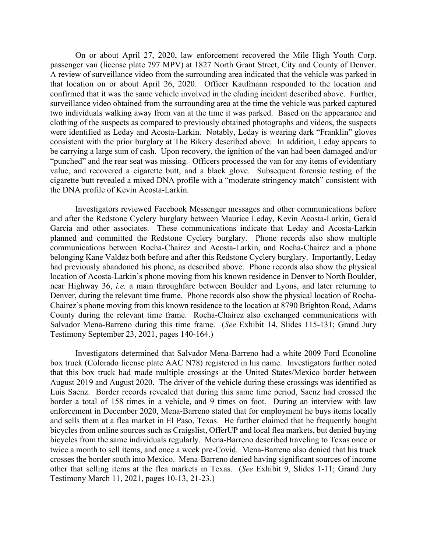On or about April 27, 2020, law enforcement recovered the Mile High Youth Corp. passenger van (license plate 797 MPV) at 1827 North Grant Street, City and County of Denver. A review of surveillance video from the surrounding area indicated that the vehicle was parked in that location on or about April 26, 2020. Officer Kaufmann responded to the location and confirmed that it was the same vehicle involved in the eluding incident described above. Further, surveillance video obtained from the surrounding area at the time the vehicle was parked captured two individuals walking away from van at the time it was parked. Based on the appearance and clothing of the suspects as compared to previously obtained photographs and videos, the suspects were identified as Leday and Acosta-Larkin. Notably, Leday is wearing dark "Franklin" gloves consistent with the prior burglary at The Bikery described above. In addition, Leday appears to be carrying a large sum of cash. Upon recovery, the ignition of the van had been damaged and/or "punched" and the rear seat was missing. Officers processed the van for any items of evidentiary value, and recovered a cigarette butt, and a black glove. Subsequent forensic testing of the cigarette butt revealed a mixed DNA profile with a "moderate stringency match" consistent with the DNA profile of Kevin Acosta-Larkin.

Investigators reviewed Facebook Messenger messages and other communications before and after the Redstone Cyclery burglary between Maurice Leday, Kevin Acosta-Larkin, Gerald Garcia and other associates. These communications indicate that Leday and Acosta-Larkin planned and committed the Redstone Cyclery burglary. Phone records also show multiple communications between Rocha-Chairez and Acosta-Larkin, and Rocha-Chairez and a phone belonging Kane Valdez both before and after this Redstone Cyclery burglary. Importantly, Leday had previously abandoned his phone, as described above. Phone records also show the physical location of Acosta-Larkin's phone moving from his known residence in Denver to North Boulder, near Highway 36, *i.e.* a main throughfare between Boulder and Lyons, and later returning to Denver, during the relevant time frame. Phone records also show the physical location of Rocha-Chairez's phone moving from this known residence to the location at 8790 Brighton Road, Adams County during the relevant time frame. Rocha-Chairez also exchanged communications with Salvador Mena-Barreno during this time frame. (*See* Exhibit 14, Slides 115-131; Grand Jury Testimony September 23, 2021, pages 140-164.)

Investigators determined that Salvador Mena-Barreno had a white 2009 Ford Econoline box truck (Colorado license plate AAC N78) registered in his name. Investigators further noted that this box truck had made multiple crossings at the United States/Mexico border between August 2019 and August 2020. The driver of the vehicle during these crossings was identified as Luis Saenz. Border records revealed that during this same time period, Saenz had crossed the border a total of 158 times in a vehicle, and 9 times on foot. During an interview with law enforcement in December 2020, Mena-Barreno stated that for employment he buys items locally and sells them at a flea market in El Paso, Texas. He further claimed that he frequently bought bicycles from online sources such as Craigslist, OfferUP and local flea markets, but denied buying bicycles from the same individuals regularly. Mena-Barreno described traveling to Texas once or twice a month to sell items, and once a week pre-Covid. Mena-Barreno also denied that his truck crosses the border south into Mexico. Mena-Barreno denied having significant sources of income other that selling items at the flea markets in Texas. (*See* Exhibit 9, Slides 1-11; Grand Jury Testimony March 11, 2021, pages 10-13, 21-23.)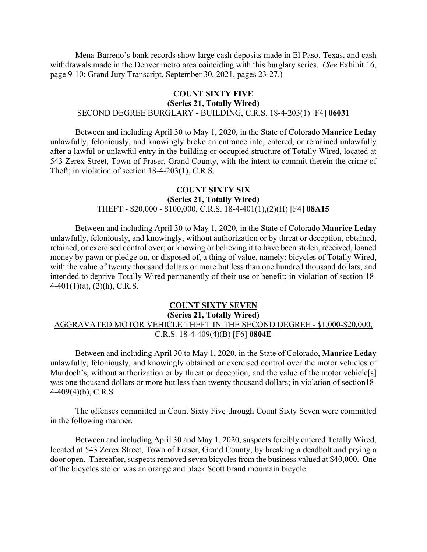Mena-Barreno's bank records show large cash deposits made in El Paso, Texas, and cash withdrawals made in the Denver metro area coinciding with this burglary series. (*See* Exhibit 16, page 9-10; Grand Jury Transcript, September 30, 2021, pages 23-27.)

# **COUNT SIXTY FIVE**

#### **(Series 21, Totally Wired)** SECOND DEGREE BURGLARY - BUILDING, C.R.S. 18-4-203(1) [F4] **06031**

Between and including April 30 to May 1, 2020, in the State of Colorado **Maurice Leday** unlawfully, feloniously, and knowingly broke an entrance into, entered, or remained unlawfully after a lawful or unlawful entry in the building or occupied structure of Totally Wired, located at 543 Zerex Street, Town of Fraser, Grand County, with the intent to commit therein the crime of Theft; in violation of section 18-4-203(1), C.R.S.

#### **COUNT SIXTY SIX (Series 21, Totally Wired)** THEFT - \$20,000 - \$100,000, C.R.S. 18-4-401(1),(2)(H) [F4] **08A15**

Between and including April 30 to May 1, 2020, in the State of Colorado **Maurice Leday** unlawfully, feloniously, and knowingly, without authorization or by threat or deception, obtained, retained, or exercised control over; or knowing or believing it to have been stolen, received, loaned money by pawn or pledge on, or disposed of, a thing of value, namely: bicycles of Totally Wired, with the value of twenty thousand dollars or more but less than one hundred thousand dollars, and intended to deprive Totally Wired permanently of their use or benefit; in violation of section 18-  $4-401(1)(a)$ ,  $(2)(h)$ , C.R.S.

#### **COUNT SIXTY SEVEN (Series 21, Totally Wired)** AGGRAVATED MOTOR VEHICLE THEFT IN THE SECOND DEGREE - \$1,000-\$20,000, C.R.S. 18-4-409(4)(B) [F6] **0804E**

Between and including April 30 to May 1, 2020, in the State of Colorado, **Maurice Leday** unlawfully, feloniously, and knowingly obtained or exercised control over the motor vehicles of Murdoch's, without authorization or by threat or deception, and the value of the motor vehicle<sup>[s]</sup> was one thousand dollars or more but less than twenty thousand dollars; in violation of section18- 4-409(4)(b), C.R.S

The offenses committed in Count Sixty Five through Count Sixty Seven were committed in the following manner.

Between and including April 30 and May 1, 2020, suspects forcibly entered Totally Wired, located at 543 Zerex Street, Town of Fraser, Grand County, by breaking a deadbolt and prying a door open. Thereafter, suspects removed seven bicycles from the business valued at \$40,000. One of the bicycles stolen was an orange and black Scott brand mountain bicycle.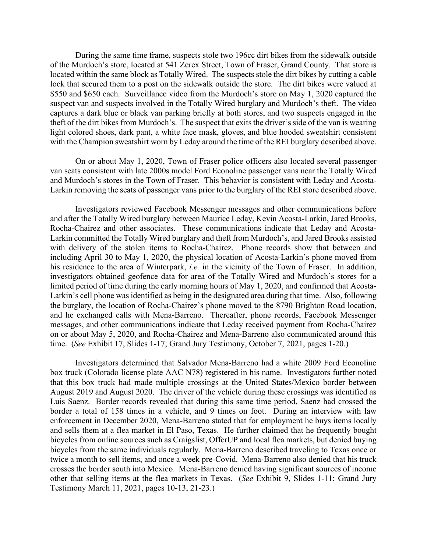During the same time frame, suspects stole two 196cc dirt bikes from the sidewalk outside of the Murdoch's store, located at 541 Zerex Street, Town of Fraser, Grand County. That store is located within the same block as Totally Wired. The suspects stole the dirt bikes by cutting a cable lock that secured them to a post on the sidewalk outside the store. The dirt bikes were valued at \$550 and \$650 each. Surveillance video from the Murdoch's store on May 1, 2020 captured the suspect van and suspects involved in the Totally Wired burglary and Murdoch's theft. The video captures a dark blue or black van parking briefly at both stores, and two suspects engaged in the theft of the dirt bikes from Murdoch's. The suspect that exits the driver's side of the van is wearing light colored shoes, dark pant, a white face mask, gloves, and blue hooded sweatshirt consistent with the Champion sweatshirt worn by Leday around the time of the REI burglary described above.

On or about May 1, 2020, Town of Fraser police officers also located several passenger van seats consistent with late 2000s model Ford Econoline passenger vans near the Totally Wired and Murdoch's stores in the Town of Fraser. This behavior is consistent with Leday and Acosta-Larkin removing the seats of passenger vans prior to the burglary of the REI store described above.

Investigators reviewed Facebook Messenger messages and other communications before and after the Totally Wired burglary between Maurice Leday, Kevin Acosta-Larkin, Jared Brooks, Rocha-Chairez and other associates. These communications indicate that Leday and Acosta-Larkin committed the Totally Wired burglary and theft from Murdoch's, and Jared Brooks assisted with delivery of the stolen items to Rocha-Chairez. Phone records show that between and including April 30 to May 1, 2020, the physical location of Acosta-Larkin's phone moved from his residence to the area of Winterpark, *i.e.* in the vicinity of the Town of Fraser. In addition, investigators obtained geofence data for area of the Totally Wired and Murdoch's stores for a limited period of time during the early morning hours of May 1, 2020, and confirmed that Acosta-Larkin's cell phone was identified as being in the designated area during that time. Also, following the burglary, the location of Rocha-Chairez's phone moved to the 8790 Brighton Road location, and he exchanged calls with Mena-Barreno. Thereafter, phone records, Facebook Messenger messages, and other communications indicate that Leday received payment from Rocha-Chairez on or about May 5, 2020, and Rocha-Chairez and Mena-Barreno also communicated around this time. (*See* Exhibit 17, Slides 1-17; Grand Jury Testimony, October 7, 2021, pages 1-20.)

Investigators determined that Salvador Mena-Barreno had a white 2009 Ford Econoline box truck (Colorado license plate AAC N78) registered in his name. Investigators further noted that this box truck had made multiple crossings at the United States/Mexico border between August 2019 and August 2020. The driver of the vehicle during these crossings was identified as Luis Saenz. Border records revealed that during this same time period, Saenz had crossed the border a total of 158 times in a vehicle, and 9 times on foot. During an interview with law enforcement in December 2020, Mena-Barreno stated that for employment he buys items locally and sells them at a flea market in El Paso, Texas. He further claimed that he frequently bought bicycles from online sources such as Craigslist, OfferUP and local flea markets, but denied buying bicycles from the same individuals regularly. Mena-Barreno described traveling to Texas once or twice a month to sell items, and once a week pre-Covid. Mena-Barreno also denied that his truck crosses the border south into Mexico. Mena-Barreno denied having significant sources of income other that selling items at the flea markets in Texas. (*See* Exhibit 9, Slides 1-11; Grand Jury Testimony March 11, 2021, pages 10-13, 21-23.)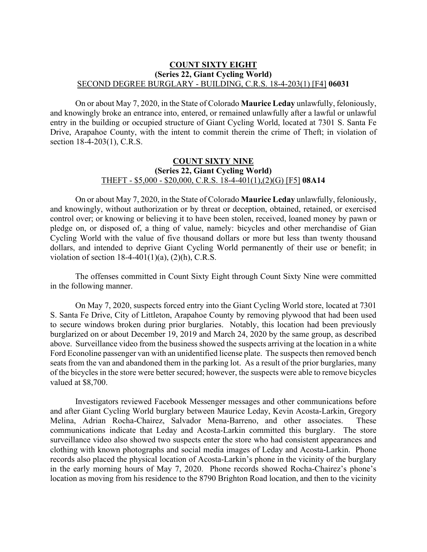#### **COUNT SIXTY EIGHT (Series 22, Giant Cycling World)** SECOND DEGREE BURGLARY - BUILDING, C.R.S. 18-4-203(1) [F4] **06031**

On or about May 7, 2020, in the State of Colorado **Maurice Leday** unlawfully, feloniously, and knowingly broke an entrance into, entered, or remained unlawfully after a lawful or unlawful entry in the building or occupied structure of Giant Cycling World, located at 7301 S. Santa Fe Drive, Arapahoe County, with the intent to commit therein the crime of Theft; in violation of section 18-4-203(1), C.R.S.

#### **COUNT SIXTY NINE (Series 22, Giant Cycling World)** THEFT - \$5,000 - \$20,000, C.R.S. 18-4-401(1),(2)(G) [F5] **08A14**

On or about May 7, 2020, in the State of Colorado **Maurice Leday** unlawfully, feloniously, and knowingly, without authorization or by threat or deception, obtained, retained, or exercised control over; or knowing or believing it to have been stolen, received, loaned money by pawn or pledge on, or disposed of, a thing of value, namely: bicycles and other merchandise of Gian Cycling World with the value of five thousand dollars or more but less than twenty thousand dollars, and intended to deprive Giant Cycling World permanently of their use or benefit; in violation of section  $18-4-401(1)(a)$ ,  $(2)(h)$ , C.R.S.

The offenses committed in Count Sixty Eight through Count Sixty Nine were committed in the following manner.

On May 7, 2020, suspects forced entry into the Giant Cycling World store, located at 7301 S. Santa Fe Drive, City of Littleton, Arapahoe County by removing plywood that had been used to secure windows broken during prior burglaries. Notably, this location had been previously burglarized on or about December 19, 2019 and March 24, 2020 by the same group, as described above. Surveillance video from the business showed the suspects arriving at the location in a white Ford Econoline passenger van with an unidentified license plate. The suspects then removed bench seats from the van and abandoned them in the parking lot. As a result of the prior burglaries, many of the bicycles in the store were better secured; however, the suspects were able to remove bicycles valued at \$8,700.

Investigators reviewed Facebook Messenger messages and other communications before and after Giant Cycling World burglary between Maurice Leday, Kevin Acosta-Larkin, Gregory Melina, Adrian Rocha-Chairez, Salvador Mena-Barreno, and other associates. These communications indicate that Leday and Acosta-Larkin committed this burglary. The store surveillance video also showed two suspects enter the store who had consistent appearances and clothing with known photographs and social media images of Leday and Acosta-Larkin. Phone records also placed the physical location of Acosta-Larkin's phone in the vicinity of the burglary in the early morning hours of May 7, 2020. Phone records showed Rocha-Chairez's phone's location as moving from his residence to the 8790 Brighton Road location, and then to the vicinity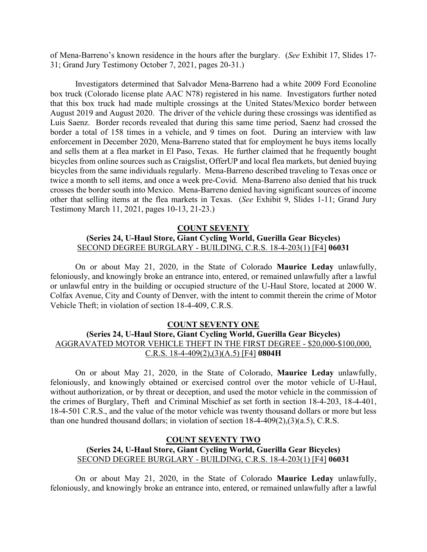of Mena-Barreno's known residence in the hours after the burglary. (*See* Exhibit 17, Slides 17- 31; Grand Jury Testimony October 7, 2021, pages 20-31.)

Investigators determined that Salvador Mena-Barreno had a white 2009 Ford Econoline box truck (Colorado license plate AAC N78) registered in his name. Investigators further noted that this box truck had made multiple crossings at the United States/Mexico border between August 2019 and August 2020. The driver of the vehicle during these crossings was identified as Luis Saenz. Border records revealed that during this same time period, Saenz had crossed the border a total of 158 times in a vehicle, and 9 times on foot. During an interview with law enforcement in December 2020, Mena-Barreno stated that for employment he buys items locally and sells them at a flea market in El Paso, Texas. He further claimed that he frequently bought bicycles from online sources such as Craigslist, OfferUP and local flea markets, but denied buying bicycles from the same individuals regularly. Mena-Barreno described traveling to Texas once or twice a month to sell items, and once a week pre-Covid. Mena-Barreno also denied that his truck crosses the border south into Mexico. Mena-Barreno denied having significant sources of income other that selling items at the flea markets in Texas. (*See* Exhibit 9, Slides 1-11; Grand Jury Testimony March 11, 2021, pages 10-13, 21-23.)

#### **COUNT SEVENTY (Series 24, U-Haul Store, Giant Cycling World, Guerilla Gear Bicycles)** SECOND DEGREE BURGLARY - BUILDING, C.R.S. 18-4-203(1) [F4] **06031**

On or about May 21, 2020, in the State of Colorado **Maurice Leday** unlawfully, feloniously, and knowingly broke an entrance into, entered, or remained unlawfully after a lawful or unlawful entry in the building or occupied structure of the U-Haul Store, located at 2000 W. Colfax Avenue, City and County of Denver, with the intent to commit therein the crime of Motor Vehicle Theft; in violation of section 18-4-409, C.R.S.

#### **COUNT SEVENTY ONE**

# **(Series 24, U-Haul Store, Giant Cycling World, Guerilla Gear Bicycles)** AGGRAVATED MOTOR VEHICLE THEFT IN THE FIRST DEGREE - \$20,000-\$100,000, C.R.S. 18-4-409(2),(3)(A.5) [F4] **0804H**

On or about May 21, 2020, in the State of Colorado, **Maurice Leday** unlawfully, feloniously, and knowingly obtained or exercised control over the motor vehicle of U-Haul, without authorization, or by threat or deception, and used the motor vehicle in the commission of the crimes of Burglary, Theft and Criminal Mischief as set forth in section 18-4-203, 18-4-401, 18-4-501 C.R.S., and the value of the motor vehicle was twenty thousand dollars or more but less than one hundred thousand dollars; in violation of section 18-4-409(2),(3)(a.5), C.R.S.

#### **COUNT SEVENTY TWO (Series 24, U-Haul Store, Giant Cycling World, Guerilla Gear Bicycles)** SECOND DEGREE BURGLARY - BUILDING, C.R.S. 18-4-203(1) [F4] **06031**

On or about May 21, 2020, in the State of Colorado **Maurice Leday** unlawfully, feloniously, and knowingly broke an entrance into, entered, or remained unlawfully after a lawful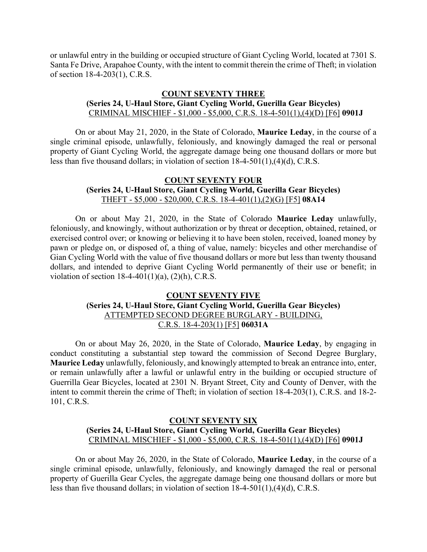or unlawful entry in the building or occupied structure of Giant Cycling World, located at 7301 S. Santa Fe Drive, Arapahoe County, with the intent to commit therein the crime of Theft; in violation of section 18-4-203(1), C.R.S.

# **COUNT SEVENTY THREE (Series 24, U-Haul Store, Giant Cycling World, Guerilla Gear Bicycles)** CRIMINAL MISCHIEF - \$1,000 - \$5,000, C.R.S. 18-4-501(1),(4)(D) [F6] **0901J**

On or about May 21, 2020, in the State of Colorado, **Maurice Leday**, in the course of a single criminal episode, unlawfully, feloniously, and knowingly damaged the real or personal property of Giant Cycling World, the aggregate damage being one thousand dollars or more but less than five thousand dollars; in violation of section 18-4-501(1),(4)(d), C.R.S.

## **COUNT SEVENTY FOUR (Series 24, U-Haul Store, Giant Cycling World, Guerilla Gear Bicycles)** THEFT - \$5,000 - \$20,000, C.R.S. 18-4-401(1),(2)(G) [F5] **08A14**

On or about May 21, 2020, in the State of Colorado **Maurice Leday** unlawfully, feloniously, and knowingly, without authorization or by threat or deception, obtained, retained, or exercised control over; or knowing or believing it to have been stolen, received, loaned money by pawn or pledge on, or disposed of, a thing of value, namely: bicycles and other merchandise of Gian Cycling World with the value of five thousand dollars or more but less than twenty thousand dollars, and intended to deprive Giant Cycling World permanently of their use or benefit; in violation of section  $18-4-401(1)(a)$ ,  $(2)(h)$ , C.R.S.

# **COUNT SEVENTY FIVE (Series 24, U-Haul Store, Giant Cycling World, Guerilla Gear Bicycles)** ATTEMPTED SECOND DEGREE BURGLARY - BUILDING, C.R.S. 18-4-203(1) [F5] **06031A**

On or about May 26, 2020, in the State of Colorado, **Maurice Leday**, by engaging in conduct constituting a substantial step toward the commission of Second Degree Burglary, **Maurice Leday** unlawfully, feloniously, and knowingly attempted to break an entrance into, enter, or remain unlawfully after a lawful or unlawful entry in the building or occupied structure of Guerrilla Gear Bicycles, located at 2301 N. Bryant Street, City and County of Denver, with the intent to commit therein the crime of Theft; in violation of section 18-4-203(1), C.R.S. and 18-2- 101, C.R.S.

## **COUNT SEVENTY SIX (Series 24, U-Haul Store, Giant Cycling World, Guerilla Gear Bicycles)** CRIMINAL MISCHIEF - \$1,000 - \$5,000, C.R.S. 18-4-501(1),(4)(D) [F6] **0901J**

On or about May 26, 2020, in the State of Colorado, **Maurice Leday**, in the course of a single criminal episode, unlawfully, feloniously, and knowingly damaged the real or personal property of Guerilla Gear Cycles, the aggregate damage being one thousand dollars or more but less than five thousand dollars; in violation of section 18-4-501(1),(4)(d), C.R.S.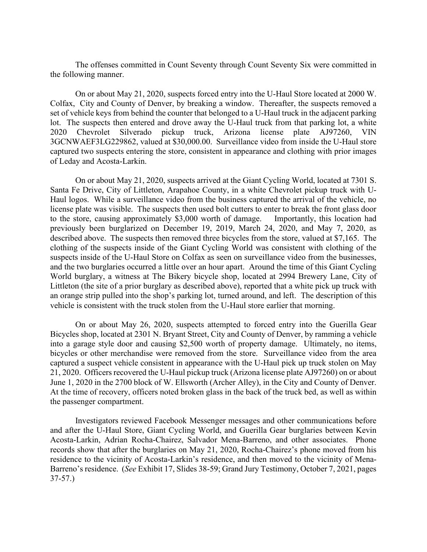The offenses committed in Count Seventy through Count Seventy Six were committed in the following manner.

On or about May 21, 2020, suspects forced entry into the U-Haul Store located at 2000 W. Colfax, City and County of Denver, by breaking a window. Thereafter, the suspects removed a set of vehicle keys from behind the counter that belonged to a U-Haul truck in the adjacent parking lot. The suspects then entered and drove away the U-Haul truck from that parking lot, a white 2020 Chevrolet Silverado pickup truck, Arizona license plate AJ97260, VIN 3GCNWAEF3LG229862, valued at \$30,000.00. Surveillance video from inside the U-Haul store captured two suspects entering the store, consistent in appearance and clothing with prior images of Leday and Acosta-Larkin.

On or about May 21, 2020, suspects arrived at the Giant Cycling World, located at 7301 S. Santa Fe Drive, City of Littleton, Arapahoe County, in a white Chevrolet pickup truck with U-Haul logos. While a surveillance video from the business captured the arrival of the vehicle, no license plate was visible. The suspects then used bolt cutters to enter to break the front glass door to the store, causing approximately \$3,000 worth of damage. Importantly, this location had previously been burglarized on December 19, 2019, March 24, 2020, and May 7, 2020, as described above. The suspects then removed three bicycles from the store, valued at \$7,165. The clothing of the suspects inside of the Giant Cycling World was consistent with clothing of the suspects inside of the U-Haul Store on Colfax as seen on surveillance video from the businesses, and the two burglaries occurred a little over an hour apart. Around the time of this Giant Cycling World burglary, a witness at The Bikery bicycle shop, located at 2994 Brewery Lane, City of Littleton (the site of a prior burglary as described above), reported that a white pick up truck with an orange strip pulled into the shop's parking lot, turned around, and left. The description of this vehicle is consistent with the truck stolen from the U-Haul store earlier that morning.

On or about May 26, 2020, suspects attempted to forced entry into the Guerilla Gear Bicycles shop, located at 2301 N. Bryant Street, City and County of Denver, by ramming a vehicle into a garage style door and causing \$2,500 worth of property damage. Ultimately, no items, bicycles or other merchandise were removed from the store. Surveillance video from the area captured a suspect vehicle consistent in appearance with the U-Haul pick up truck stolen on May 21, 2020. Officers recovered the U-Haul pickup truck (Arizona license plate AJ97260) on or about June 1, 2020 in the 2700 block of W. Ellsworth (Archer Alley), in the City and County of Denver. At the time of recovery, officers noted broken glass in the back of the truck bed, as well as within the passenger compartment.

Investigators reviewed Facebook Messenger messages and other communications before and after the U-Haul Store, Giant Cycling World, and Guerilla Gear burglaries between Kevin Acosta-Larkin, Adrian Rocha-Chairez, Salvador Mena-Barreno, and other associates. Phone records show that after the burglaries on May 21, 2020, Rocha-Chairez's phone moved from his residence to the vicinity of Acosta-Larkin's residence, and then moved to the vicinity of Mena-Barreno's residence. (*See* Exhibit 17, Slides 38-59; Grand Jury Testimony, October 7, 2021, pages 37-57.)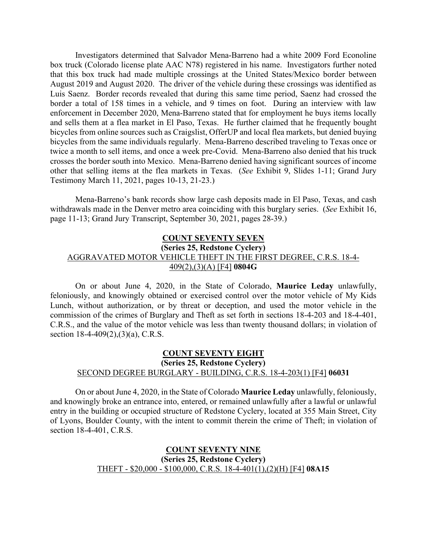Investigators determined that Salvador Mena-Barreno had a white 2009 Ford Econoline box truck (Colorado license plate AAC N78) registered in his name. Investigators further noted that this box truck had made multiple crossings at the United States/Mexico border between August 2019 and August 2020. The driver of the vehicle during these crossings was identified as Luis Saenz. Border records revealed that during this same time period, Saenz had crossed the border a total of 158 times in a vehicle, and 9 times on foot. During an interview with law enforcement in December 2020, Mena-Barreno stated that for employment he buys items locally and sells them at a flea market in El Paso, Texas. He further claimed that he frequently bought bicycles from online sources such as Craigslist, OfferUP and local flea markets, but denied buying bicycles from the same individuals regularly. Mena-Barreno described traveling to Texas once or twice a month to sell items, and once a week pre-Covid. Mena-Barreno also denied that his truck crosses the border south into Mexico. Mena-Barreno denied having significant sources of income other that selling items at the flea markets in Texas. (*See* Exhibit 9, Slides 1-11; Grand Jury Testimony March 11, 2021, pages 10-13, 21-23.)

Mena-Barreno's bank records show large cash deposits made in El Paso, Texas, and cash withdrawals made in the Denver metro area coinciding with this burglary series. (*See* Exhibit 16, page 11-13; Grand Jury Transcript, September 30, 2021, pages 28-39.)

# **COUNT SEVENTY SEVEN (Series 25, Redstone Cyclery)** AGGRAVATED MOTOR VEHICLE THEFT IN THE FIRST DEGREE, C.R.S. 18-4- 409(2),(3)(A) [F4] **0804G**

On or about June 4, 2020, in the State of Colorado, **Maurice Leday** unlawfully, feloniously, and knowingly obtained or exercised control over the motor vehicle of My Kids Lunch, without authorization, or by threat or deception, and used the motor vehicle in the commission of the crimes of Burglary and Theft as set forth in sections 18-4-203 and 18-4-401, C.R.S., and the value of the motor vehicle was less than twenty thousand dollars; in violation of section 18-4-409(2),(3)(a), C.R.S.

# **COUNT SEVENTY EIGHT (Series 25, Redstone Cyclery)** SECOND DEGREE BURGLARY - BUILDING, C.R.S. 18-4-203(1) [F4] **06031**

On or about June 4, 2020, in the State of Colorado **Maurice Leday** unlawfully, feloniously, and knowingly broke an entrance into, entered, or remained unlawfully after a lawful or unlawful entry in the building or occupied structure of Redstone Cyclery, located at 355 Main Street, City of Lyons, Boulder County, with the intent to commit therein the crime of Theft; in violation of section 18-4-401, C.R.S.

## **COUNT SEVENTY NINE (Series 25, Redstone Cyclery)** THEFT - \$20,000 - \$100,000, C.R.S. 18-4-401(1),(2)(H) [F4] **08A15**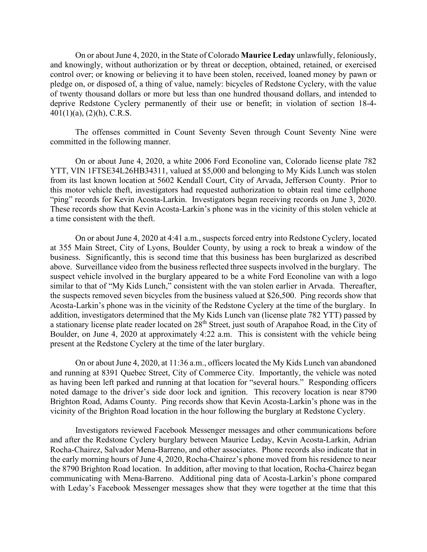On or about June 4, 2020, in the State of Colorado **Maurice Leday** unlawfully, feloniously, and knowingly, without authorization or by threat or deception, obtained, retained, or exercised control over; or knowing or believing it to have been stolen, received, loaned money by pawn or pledge on, or disposed of, a thing of value, namely: bicycles of Redstone Cyclery, with the value of twenty thousand dollars or more but less than one hundred thousand dollars, and intended to deprive Redstone Cyclery permanently of their use or benefit; in violation of section 18-4-  $401(1)(a)$ ,  $(2)(h)$ , C.R.S.

The offenses committed in Count Seventy Seven through Count Seventy Nine were committed in the following manner.

On or about June 4, 2020, a white 2006 Ford Econoline van, Colorado license plate 782 YTT, VIN 1FTSE34L26HB34311, valued at \$5,000 and belonging to My Kids Lunch was stolen from its last known location at 5602 Kendall Court, City of Arvada, Jefferson County. Prior to this motor vehicle theft, investigators had requested authorization to obtain real time cellphone "ping" records for Kevin Acosta-Larkin. Investigators began receiving records on June 3, 2020. These records show that Kevin Acosta-Larkin's phone was in the vicinity of this stolen vehicle at a time consistent with the theft.

On or about June 4, 2020 at 4:41 a.m., suspects forced entry into Redstone Cyclery, located at 355 Main Street, City of Lyons, Boulder County, by using a rock to break a window of the business. Significantly, this is second time that this business has been burglarized as described above. Surveillance video from the business reflected three suspects involved in the burglary. The suspect vehicle involved in the burglary appeared to be a white Ford Econoline van with a logo similar to that of "My Kids Lunch," consistent with the van stolen earlier in Arvada. Thereafter, the suspects removed seven bicycles from the business valued at \$26,500. Ping records show that Acosta-Larkin's phone was in the vicinity of the Redstone Cyclery at the time of the burglary. In addition, investigators determined that the My Kids Lunch van (license plate 782 YTT) passed by a stationary license plate reader located on 28<sup>th</sup> Street, just south of Arapahoe Road, in the City of Boulder, on June 4, 2020 at approximately 4:22 a.m. This is consistent with the vehicle being present at the Redstone Cyclery at the time of the later burglary.

On or about June 4, 2020, at 11:36 a.m., officers located the My Kids Lunch van abandoned and running at 8391 Quebec Street, City of Commerce City. Importantly, the vehicle was noted as having been left parked and running at that location for "several hours." Responding officers noted damage to the driver's side door lock and ignition. This recovery location is near 8790 Brighton Road, Adams County. Ping records show that Kevin Acosta-Larkin's phone was in the vicinity of the Brighton Road location in the hour following the burglary at Redstone Cyclery.

Investigators reviewed Facebook Messenger messages and other communications before and after the Redstone Cyclery burglary between Maurice Leday, Kevin Acosta-Larkin, Adrian Rocha-Chairez, Salvador Mena-Barreno, and other associates. Phone records also indicate that in the early morning hours of June 4, 2020, Rocha-Chairez's phone moved from his residence to near the 8790 Brighton Road location. In addition, after moving to that location, Rocha-Chairez began communicating with Mena-Barreno. Additional ping data of Acosta-Larkin's phone compared with Leday's Facebook Messenger messages show that they were together at the time that this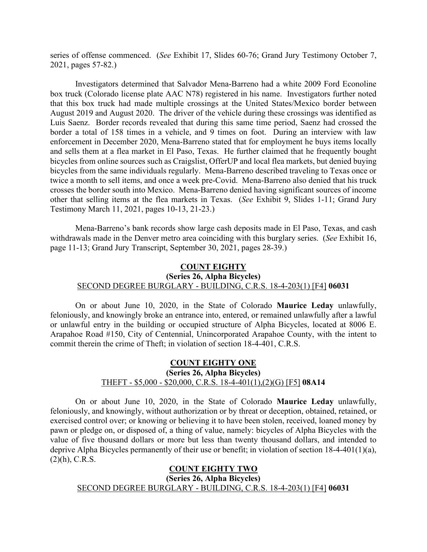series of offense commenced. (*See* Exhibit 17, Slides 60-76; Grand Jury Testimony October 7, 2021, pages 57-82.)

Investigators determined that Salvador Mena-Barreno had a white 2009 Ford Econoline box truck (Colorado license plate AAC N78) registered in his name. Investigators further noted that this box truck had made multiple crossings at the United States/Mexico border between August 2019 and August 2020. The driver of the vehicle during these crossings was identified as Luis Saenz. Border records revealed that during this same time period, Saenz had crossed the border a total of 158 times in a vehicle, and 9 times on foot. During an interview with law enforcement in December 2020, Mena-Barreno stated that for employment he buys items locally and sells them at a flea market in El Paso, Texas. He further claimed that he frequently bought bicycles from online sources such as Craigslist, OfferUP and local flea markets, but denied buying bicycles from the same individuals regularly. Mena-Barreno described traveling to Texas once or twice a month to sell items, and once a week pre-Covid. Mena-Barreno also denied that his truck crosses the border south into Mexico. Mena-Barreno denied having significant sources of income other that selling items at the flea markets in Texas. (*See* Exhibit 9, Slides 1-11; Grand Jury Testimony March 11, 2021, pages 10-13, 21-23.)

Mena-Barreno's bank records show large cash deposits made in El Paso, Texas, and cash withdrawals made in the Denver metro area coinciding with this burglary series. (*See* Exhibit 16, page 11-13; Grand Jury Transcript, September 30, 2021, pages 28-39.)

## **COUNT EIGHTY (Series 26, Alpha Bicycles)** SECOND DEGREE BURGLARY - BUILDING, C.R.S. 18-4-203(1) [F4] **06031**

On or about June 10, 2020, in the State of Colorado **Maurice Leday** unlawfully, feloniously, and knowingly broke an entrance into, entered, or remained unlawfully after a lawful or unlawful entry in the building or occupied structure of Alpha Bicycles, located at 8006 E. Arapahoe Road #150, City of Centennial, Unincorporated Arapahoe County, with the intent to commit therein the crime of Theft; in violation of section 18-4-401, C.R.S.

## **COUNT EIGHTY ONE (Series 26, Alpha Bicycles)** THEFT - \$5,000 - \$20,000, C.R.S. 18-4-401(1),(2)(G) [F5] **08A14**

On or about June 10, 2020, in the State of Colorado **Maurice Leday** unlawfully, feloniously, and knowingly, without authorization or by threat or deception, obtained, retained, or exercised control over; or knowing or believing it to have been stolen, received, loaned money by pawn or pledge on, or disposed of, a thing of value, namely: bicycles of Alpha Bicycles with the value of five thousand dollars or more but less than twenty thousand dollars, and intended to deprive Alpha Bicycles permanently of their use or benefit; in violation of section 18-4-401(1)(a),  $(2)(h)$ , C.R.S.

#### **COUNT EIGHTY TWO**

**(Series 26, Alpha Bicycles)**

#### SECOND DEGREE BURGLARY - BUILDING, C.R.S. 18-4-203(1) [F4] **06031**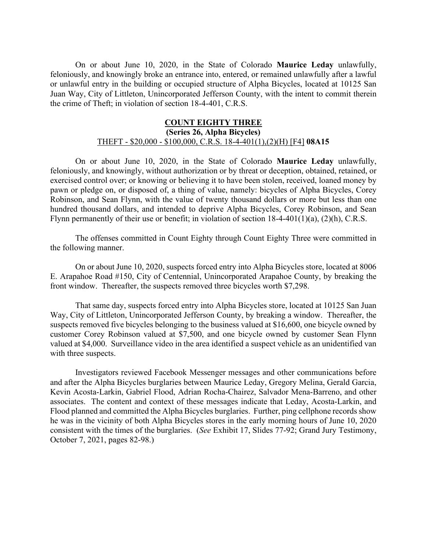On or about June 10, 2020, in the State of Colorado **Maurice Leday** unlawfully, feloniously, and knowingly broke an entrance into, entered, or remained unlawfully after a lawful or unlawful entry in the building or occupied structure of Alpha Bicycles, located at 10125 San Juan Way, City of Littleton, Unincorporated Jefferson County, with the intent to commit therein the crime of Theft; in violation of section 18-4-401, C.R.S.

#### **COUNT EIGHTY THREE (Series 26, Alpha Bicycles)** THEFT - \$20,000 - \$100,000, C.R.S. 18-4-401(1),(2)(H) [F4] **08A15**

On or about June 10, 2020, in the State of Colorado **Maurice Leday** unlawfully, feloniously, and knowingly, without authorization or by threat or deception, obtained, retained, or exercised control over; or knowing or believing it to have been stolen, received, loaned money by pawn or pledge on, or disposed of, a thing of value, namely: bicycles of Alpha Bicycles, Corey Robinson, and Sean Flynn, with the value of twenty thousand dollars or more but less than one hundred thousand dollars, and intended to deprive Alpha Bicycles, Corey Robinson, and Sean Flynn permanently of their use or benefit; in violation of section 18-4-401(1)(a), (2)(h), C.R.S.

The offenses committed in Count Eighty through Count Eighty Three were committed in the following manner.

On or about June 10, 2020, suspects forced entry into Alpha Bicycles store, located at 8006 E. Arapahoe Road #150, City of Centennial, Unincorporated Arapahoe County, by breaking the front window. Thereafter, the suspects removed three bicycles worth \$7,298.

That same day, suspects forced entry into Alpha Bicycles store, located at 10125 San Juan Way, City of Littleton, Unincorporated Jefferson County, by breaking a window. Thereafter, the suspects removed five bicycles belonging to the business valued at \$16,600, one bicycle owned by customer Corey Robinson valued at \$7,500, and one bicycle owned by customer Sean Flynn valued at \$4,000. Surveillance video in the area identified a suspect vehicle as an unidentified van with three suspects.

Investigators reviewed Facebook Messenger messages and other communications before and after the Alpha Bicycles burglaries between Maurice Leday, Gregory Melina, Gerald Garcia, Kevin Acosta-Larkin, Gabriel Flood, Adrian Rocha-Chairez, Salvador Mena-Barreno, and other associates. The content and context of these messages indicate that Leday, Acosta-Larkin, and Flood planned and committed the Alpha Bicycles burglaries. Further, ping cellphone records show he was in the vicinity of both Alpha Bicycles stores in the early morning hours of June 10, 2020 consistent with the times of the burglaries. (*See* Exhibit 17, Slides 77-92; Grand Jury Testimony, October 7, 2021, pages 82-98.)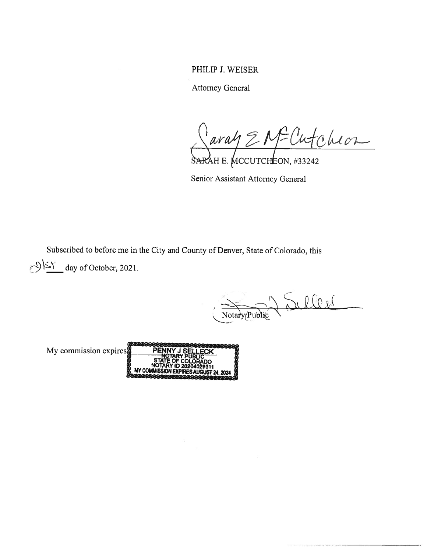PHILIP J. WEISER

Attorney General

SARAH E. MCCUTCHEON, #33242 PHILIP J. WEISER<br>Attorney General<br>Attorney General<br>SARAH E. MCCUTCHEON, #33242<br>Senior Assistant Attorney General<br>Subscribed to before me in the City and County of Denver, State of Colorado, this<br> $\frac{1}{2}$  day of October,

Senior Assistant Attorney General

Notary (Public LOU